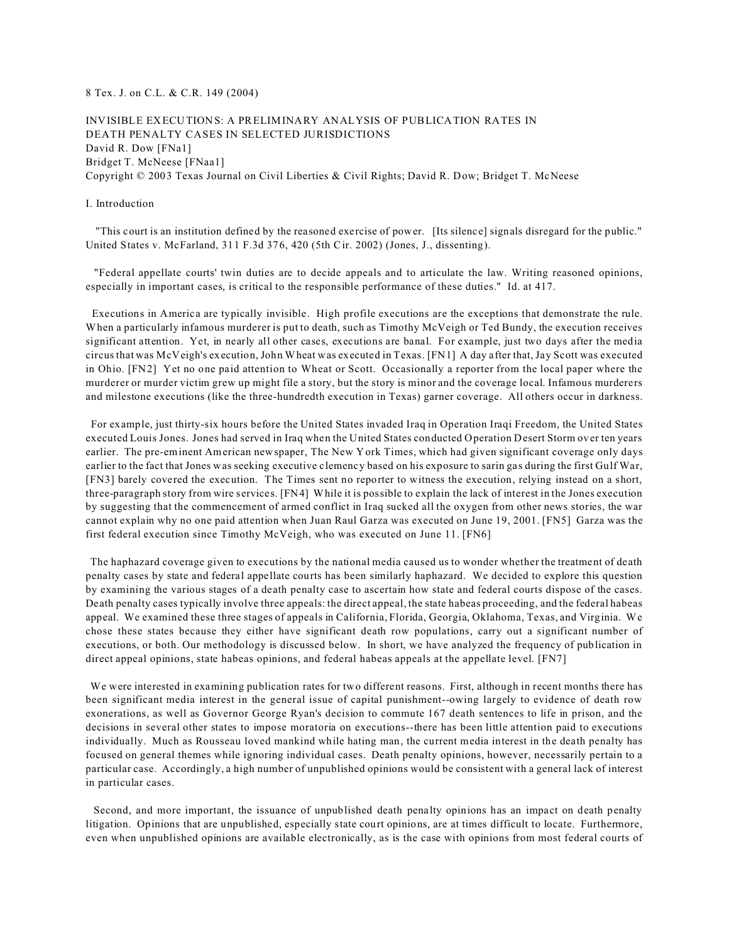### 8 Tex. J. on C.L. & C.R. 149 (2004)

INVISIBLE EXECUTIONS: A PRELIMINARY ANALYSIS OF PUBLICATION RATES IN DEATH PENALTY CASES IN SELECTED JURISDICTIONS David R. Dow [FNa1] Bridget T. McNeese [FNaa1] Copyright © 2003 Texas Journal on Civil Liberties & Civil Rights; David R. Dow; Bridget T. McNeese

### I. Introduction

 "This court is an institution defined by the reasoned exercise of power. [Its silence] signals disregard for the public." United States v. McFarland, 311 F.3d 376, 420 (5th Cir. 2002) (Jones, J., dissenting).

 "Federal appellate courts' twin duties are to decide appeals and to articulate the law. Writing reasoned opinions, especially in important cases, is critical to the responsible performance of these duties." Id. at 417.

 Executions in America are typically invisible. High profile executions are the exceptions that demonstrate the rule. When a particularly infamous murderer is put to death, such as Timothy McVeigh or Ted Bundy, the execution receives significant attention. Yet, in nearly all other cases, executions are banal. For example, just two days after the media circus that was McVeigh's execution, John Wheat was executed in Texas. [FN1] A day after that, Jay Scott was executed in Ohio. [FN2] Yet no one paid attention to Wheat or Scott. Occasionally a reporter from the local paper where the murderer or murder victim grew up might file a story, but the story is minor and the coverage local. Infamous murderers and milestone executions (like the three-hundredth execution in Texas) garner coverage. All others occur in darkness.

 For example, just thirty-six hours before the United States invaded Iraq in Operation Iraqi Freedom, the United States executed Louis Jones. Jones had served in Iraq when the United States conducted Operation Desert Storm over ten years earlier. The pre-eminent American newspaper, The New York Times, which had given significant coverage only days earlier to the fact that Jones was seeking executive clemency based on his exposure to sarin gas during the first Gulf War, [FN3] barely covered the execution. The Times sent no reporter to witness the execution, relying instead on a short, three-paragraph story from wire services. [FN4] While it is possible to explain the lack of interest in the Jones execution by suggesting that the commencement of armed conflict in Iraq sucked all the oxygen from other news stories, the war cannot explain why no one paid attention when Juan Raul Garza was executed on June 19, 2001. [FN5] Garza was the first federal execution since Timothy McVeigh, who was executed on June 11. [FN6]

 The haphazard coverage given to executions by the national media caused us to wonder whether the treatment of death penalty cases by state and federal appellate courts has been similarly haphazard. We decided to explore this question by examining the various stages of a death penalty case to ascertain how state and federal courts dispose of the cases. Death penalty cases typically involve three appeals: the direct appeal, the state habeas proceeding, and the federal habeas appeal. We examined these three stages of appeals in California, Florida, Georgia, Oklahoma, Texas, and Virginia. We chose these states because they either have significant death row populations, carry out a significant number of executions, or both. Our methodology is discussed below. In short, we have analyzed the frequency of publication in direct appeal opinions, state habeas opinions, and federal habeas appeals at the appellate level. [FN7]

 We were interested in examining publication rates for two different reasons. First, although in recent months there has been significant media interest in the general issue of capital punishment--owing largely to evidence of death row exonerations, as well as Governor George Ryan's decision to commute 167 death sentences to life in prison, and the decisions in several other states to impose moratoria on executions--there has been little attention paid to executions individually. Much as Rousseau loved mankind while hating man, the current media interest in the death penalty has focused on general themes while ignoring individual cases. Death penalty opinions, however, necessarily pertain to a particular case. Accordingly, a high number of unpublished opinions would be consistent with a general lack of interest in particular cases.

 Second, and more important, the issuance of unpublished death penalty opinions has an impact on death penalty litigation. Opinions that are unpublished, especially state court opinions, are at times difficult to locate. Furthermore, even when unpublished opinions are available electronically, as is the case with opinions from most federal courts of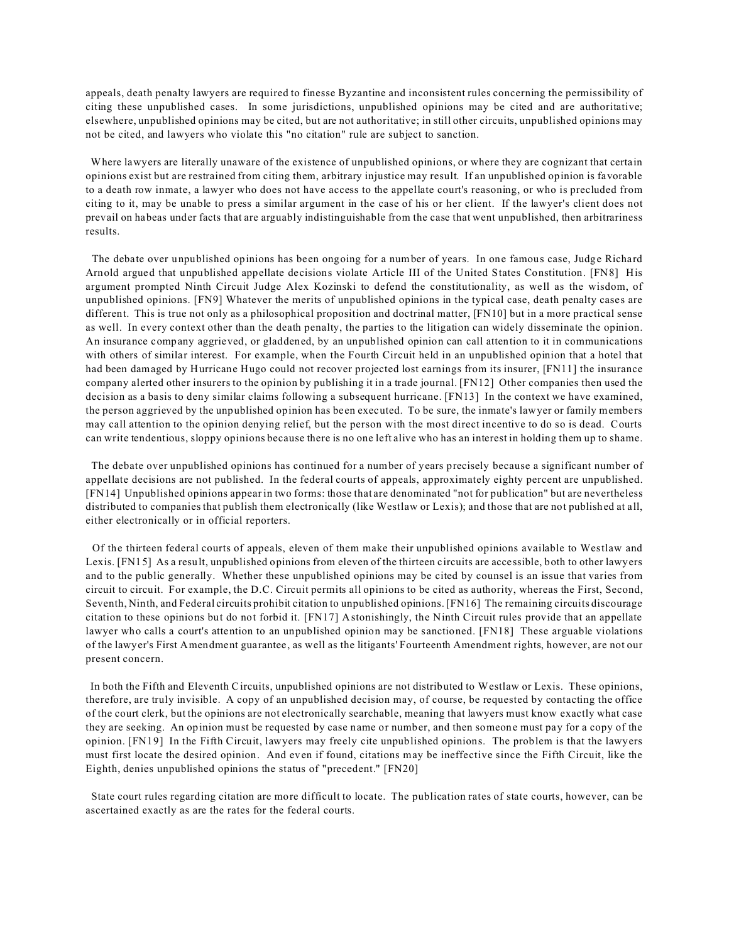appeals, death penalty lawyers are required to finesse Byzantine and inconsistent rules concerning the permissibility of citing these unpublished cases. In some jurisdictions, unpublished opinions may be cited and are authoritative; elsewhere, unpublished opinions may be cited, but are not authoritative; in still other circuits, unpublished opinions may not be cited, and lawyers who violate this "no citation" rule are subject to sanction.

 Where lawyers are literally unaware of the existence of unpublished opinions, or where they are cognizant that certain opinions exist but are restrained from citing them, arbitrary injustice may result. If an unpublished opinion is favorable to a death row inmate, a lawyer who does not have access to the appellate court's reasoning, or who is precluded from citing to it, may be unable to press a similar argument in the case of his or her client. If the lawyer's client does not prevail on habeas under facts that are arguably indistinguishable from the case that went unpublished, then arbitrariness results.

 The debate over unpublished opinions has been ongoing for a number of years. In one famous case, Judge Richard Arnold argued that unpublished appellate decisions violate Article III of the United States Constitution. [FN8] His argument prompted Ninth Circuit Judge Alex Kozinski to defend the constitutionality, as well as the wisdom, of unpublished opinions. [FN9] Whatever the merits of unpublished opinions in the typical case, death penalty cases are different. This is true not only as a philosophical proposition and doctrinal matter, [FN10] but in a more practical sense as well. In every context other than the death penalty, the parties to the litigation can widely disseminate the opinion. An insurance company aggrieved, or gladdened, by an unpublished opinion can call attention to it in communications with others of similar interest. For example, when the Fourth Circuit held in an unpublished opinion that a hotel that had been damaged by Hurricane Hugo could not recover projected lost earnings from its insurer, [FN11] the insurance company alerted other insurers to the opinion by publishing it in a trade journal. [FN12] Other companies then used the decision as a basis to deny similar claims following a subsequent hurricane. [FN13] In the context we have examined, the person aggrieved by the unpublished opinion has been executed. To be sure, the inmate's lawyer or family members may call attention to the opinion denying relief, but the person with the most direct incentive to do so is dead. Courts can write tendentious, sloppy opinions because there is no one left alive who has an interest in holding them up to shame.

 The debate over unpublished opinions has continued for a number of years precisely because a significant number of appellate decisions are not published. In the federal courts of appeals, approximately eighty percent are unpublished. [FN14] Unpublished opinions appear in two forms: those that are denominated "not for publication" but are nevertheless distributed to companies that publish them electronically (like Westlaw or Lexis); and those that are not published at all, either electronically or in official reporters.

 Of the thirteen federal courts of appeals, eleven of them make their unpublished opinions available to Westlaw and Lexis. [FN15] As a result, unpublished opinions from eleven of the thirteen circuits are accessible, both to other lawyers and to the public generally. Whether these unpublished opinions may be cited by counsel is an issue that varies from circuit to circuit. For example, the D.C. Circuit permits all opinions to be cited as authority, whereas the First, Second, Seventh, Ninth, and Federal circuits prohibit citation to unpublished opinions. [FN16] The remaining circuits discourage citation to these opinions but do not forbid it. [FN17] Astonishingly, the Ninth Circuit rules provide that an appellate lawyer who calls a court's attention to an unpublished opinion may be sanctioned. [FN18] These arguable violations of the lawyer's First Amendment guarantee, as well as the litigants' Fourteenth Amendment rights, however, are not our present concern.

 In both the Fifth and Eleventh Circuits, unpublished opinions are not distributed to Westlaw or Lexis. These opinions, therefore, are truly invisible. A copy of an unpublished decision may, of course, be requested by contacting the office of the court clerk, but the opinions are not electronically searchable, meaning that lawyers must know exactly what case they are seeking. An opinion must be requested by case name or number, and then someone must pay for a copy of the opinion. [FN19] In the Fifth Circuit, lawyers may freely cite unpublished opinions. The problem is that the lawyers must first locate the desired opinion. And even if found, citations may be ineffective since the Fifth Circuit, like the Eighth, denies unpublished opinions the status of "precedent." [FN20]

 State court rules regarding citation are more difficult to locate. The publication rates of state courts, however, can be ascertained exactly as are the rates for the federal courts.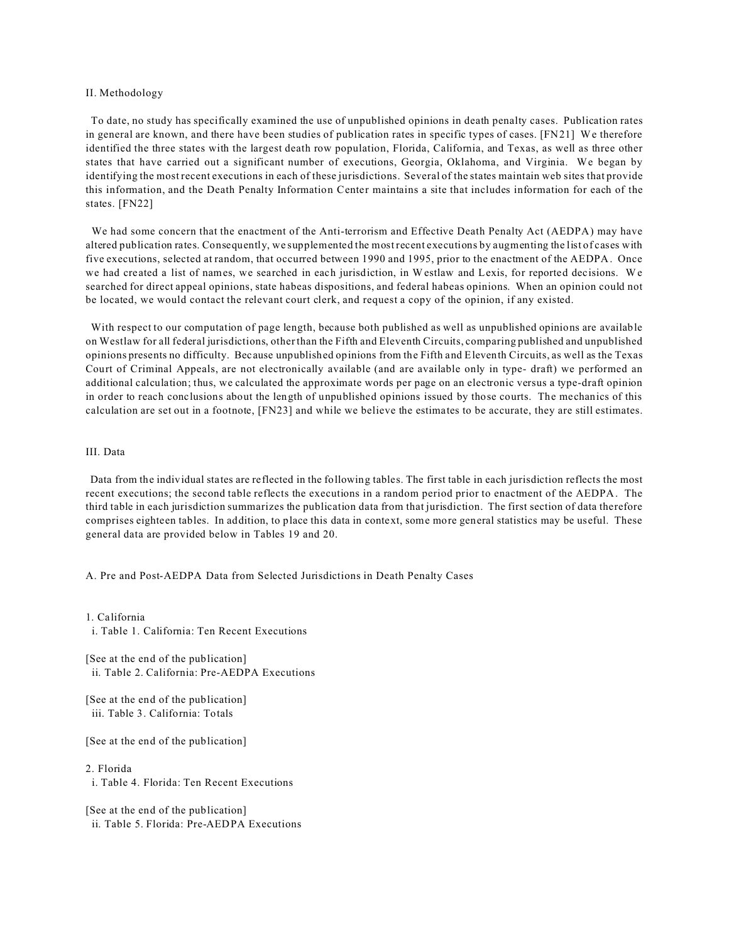### II. Methodology

 To date, no study has specifically examined the use of unpublished opinions in death penalty cases. Publication rates in general are known, and there have been studies of publication rates in specific types of cases. [FN21] We therefore identified the three states with the largest death row population, Florida, California, and Texas, as well as three other states that have carried out a significant number of executions, Georgia, Oklahoma, and Virginia. We began by identifying the most recent executions in each of these jurisdictions. Several of the states maintain web sites that provide this information, and the Death Penalty Information Center maintains a site that includes information for each of the states. [FN22]

 We had some concern that the enactment of the Anti-terrorism and Effective Death Penalty Act (AEDPA) may have altered publication rates. Consequently, we supplemented the most recent executions by augmenting the list of cases with five executions, selected at random, that occurred between 1990 and 1995, prior to the enactment of the AEDPA. Once we had created a list of names, we searched in each jurisdiction, in Westlaw and Lexis, for reported decisions. We searched for direct appeal opinions, state habeas dispositions, and federal habeas opinions. When an opinion could not be located, we would contact the relevant court clerk, and request a copy of the opinion, if any existed.

 With respect to our computation of page length, because both published as well as unpublished opinions are available on Westlaw for all federal jurisdictions, other than the Fifth and Eleventh Circuits, comparing published and unpublished opinions presents no difficulty. Because unpublished opinions from the Fifth and Eleventh Circuits, as well as the Texas Court of Criminal Appeals, are not electronically available (and are available only in type- draft) we performed an additional calculation; thus, we calculated the approximate words per page on an electronic versus a type-draft opinion in order to reach conclusions about the length of unpublished opinions issued by those courts. The mechanics of this calculation are set out in a footnote, [FN23] and while we believe the estimates to be accurate, they are still estimates.

### III. Data

 Data from the individual states are reflected in the following tables. The first table in each jurisdiction reflects the most recent executions; the second table reflects the executions in a random period prior to enactment of the AEDPA. The third table in each jurisdiction summarizes the publication data from that jurisdiction. The first section of data therefore comprises eighteen tables. In addition, to place this data in context, some more general statistics may be useful. These general data are provided below in Tables 19 and 20.

A. Pre and Post-AEDPA Data from Selected Jurisdictions in Death Penalty Cases

1. California

i. Table 1. California: Ten Recent Executions

[See at the end of the publication] ii. Table 2. California: Pre-AEDPA Executions

[See at the end of the publication] iii. Table 3. California: Totals

[See at the end of the publication]

2. Florida

i. Table 4. Florida: Ten Recent Executions

[See at the end of the publication] ii. Table 5. Florida: Pre-AEDPA Executions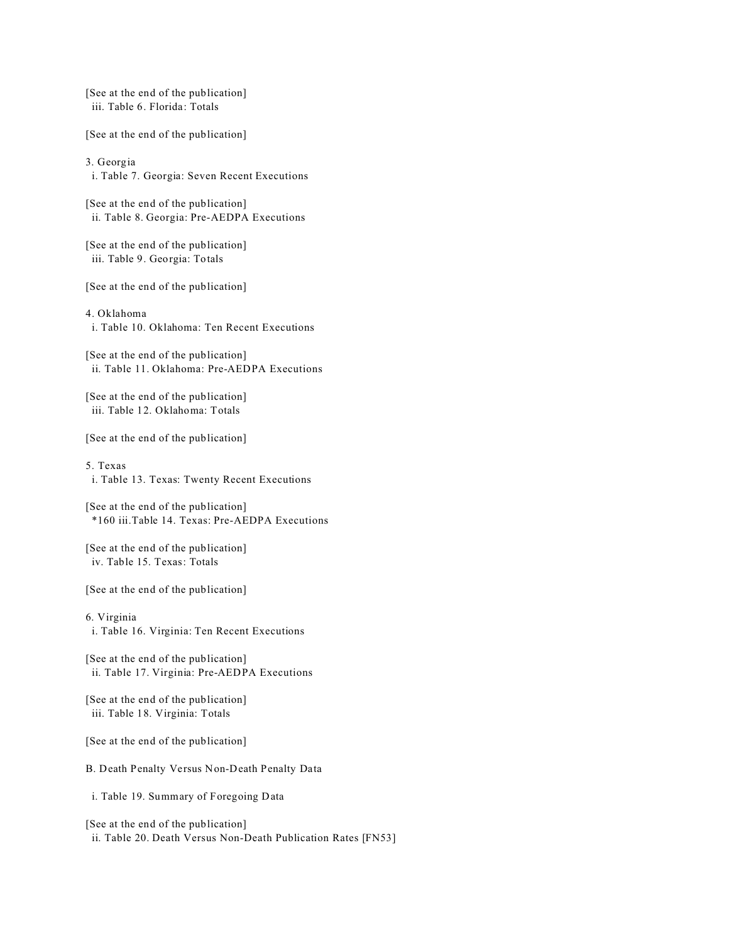[See at the end of the publication] iii. Table 6. Florida: Totals

[See at the end of the publication]

3. Georgia

i. Table 7. Georgia: Seven Recent Executions

[See at the end of the publication] ii. Table 8. Georgia: Pre-AEDPA Executions

[See at the end of the publication] iii. Table 9. Georgia: Totals

[See at the end of the publication]

### 4. Oklahoma

i. Table 10. Oklahoma: Ten Recent Executions

[See at the end of the publication] ii. Table 11. Oklahoma: Pre-AEDPA Executions

[See at the end of the publication] iii. Table 12. Oklahoma: Totals

[See at the end of the publication]

5. Texas i. Table 13. Texas: Twenty Recent Executions

[See at the end of the publication] \*160 iii.Table 14. Texas: Pre-AEDPA Executions

[See at the end of the publication] iv. Table 15. Texas: Totals

[See at the end of the publication]

6. Virginia i. Table 16. Virginia: Ten Recent Executions

[See at the end of the publication] ii. Table 17. Virginia: Pre-AEDPA Executions

[See at the end of the publication] iii. Table 18. Virginia: Totals

[See at the end of the publication]

B. Death Penalty Versus Non-Death Penalty Data

i. Table 19. Summary of Foregoing Data

[See at the end of the publication] ii. Table 20. Death Versus Non-Death Publication Rates [FN53]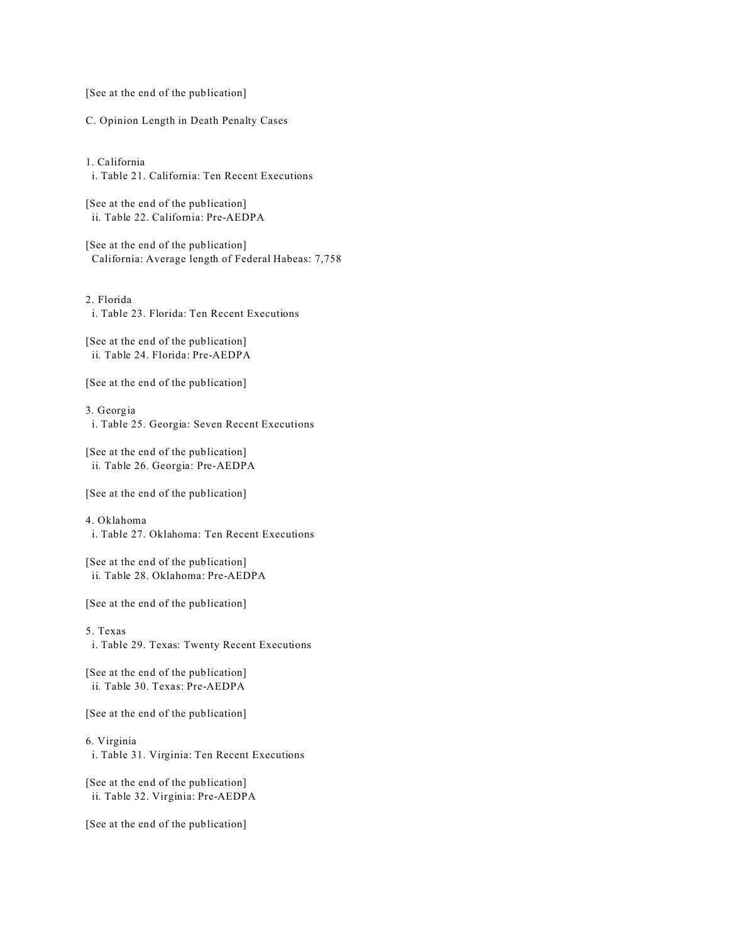[See at the end of the publication]

C. Opinion Length in Death Penalty Cases

1. California i. Table 21. California: Ten Recent Executions

[See at the end of the publication] ii. Table 22. California: Pre-AEDPA

[See at the end of the publication] California: Average length of Federal Habeas: 7,758

2. Florida i. Table 23. Florida: Ten Recent Executions

[See at the end of the publication] ii. Table 24. Florida: Pre-AEDPA

[See at the end of the publication]

3. Georgia i. Table 25. Georgia: Seven Recent Executions

[See at the end of the publication] ii. Table 26. Georgia: Pre-AEDPA

[See at the end of the publication]

4. Oklahoma i. Table 27. Oklahoma: Ten Recent Executions

[See at the end of the publication] ii. Table 28. Oklahoma: Pre-AEDPA

[See at the end of the publication]

5. Texas

i. Table 29. Texas: Twenty Recent Executions

[See at the end of the publication] ii. Table 30. Texas: Pre-AEDPA

[See at the end of the publication]

### 6. Virginia

i. Table 31. Virginia: Ten Recent Executions

[See at the end of the publication] ii. Table 32. Virginia: Pre-AEDPA

[See at the end of the publication]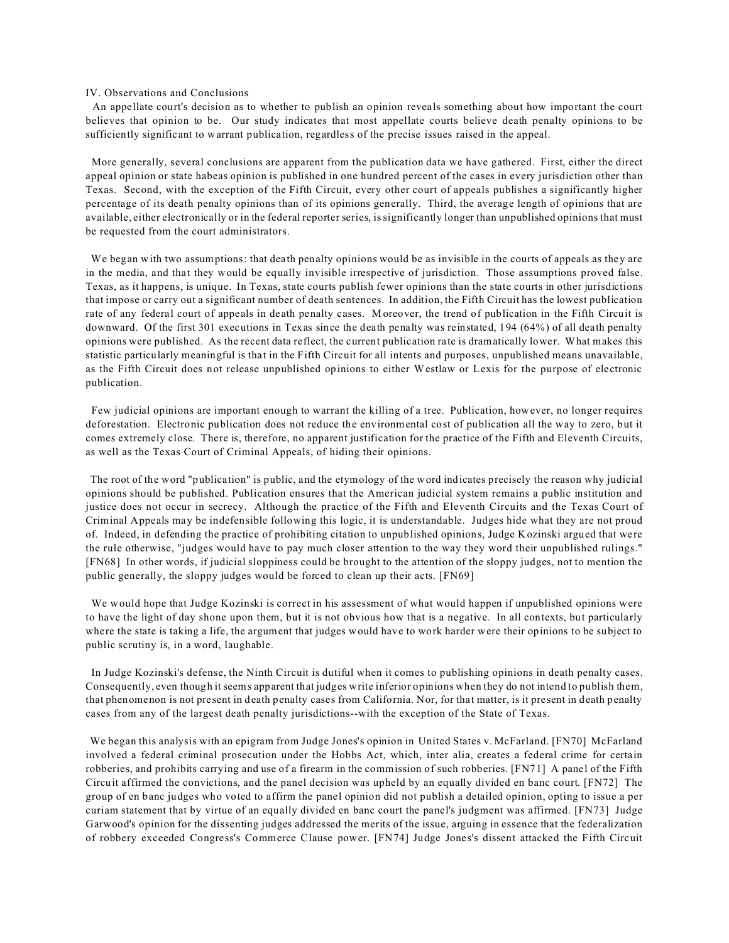### IV. Observations and Conclusions

 An appellate court's decision as to whether to publish an opinion reveals something about how important the court believes that opinion to be. Our study indicates that most appellate courts believe death penalty opinions to be sufficiently significant to warrant publication, regardless of the precise issues raised in the appeal.

 More generally, several conclusions are apparent from the publication data we have gathered. First, either the direct appeal opinion or state habeas opinion is published in one hundred percent of the cases in every jurisdiction other than Texas. Second, with the exception of the Fifth Circuit, every other court of appeals publishes a significantly higher percentage of its death penalty opinions than of its opinions generally. Third, the average length of opinions that are available, either electronically or in the federal reporter series, is significantly longer than unpublished opinions that must be requested from the court administrators.

We began with two assumptions: that death penalty opinions would be as invisible in the courts of appeals as they are in the media, and that they would be equally invisible irrespective of jurisdiction. Those assumptions proved false. Texas, as it happens, is unique. In Texas, state courts publish fewer opinions than the state courts in other jurisdictions that impose or carry out a significant number of death sentences. In addition, the Fifth Circuit has the lowest publication rate of any federal court of appeals in death penalty cases. Moreover, the trend of publication in the Fifth Circuit is downward. Of the first 301 executions in Texas since the death penalty was reinstated, 194 (64%) of all death penalty opinions were published. As the recent data reflect, the current publication rate is dramatically lower. What makes this statistic particularly meaningful is that in the Fifth Circuit for all intents and purposes, unpublished means unavailable, as the Fifth Circuit does not release unpublished opinions to either Westlaw or Lexis for the purpose of electronic publication.

 Few judicial opinions are important enough to warrant the killing of a tree. Publication, however, no longer requires deforestation. Electronic publication does not reduce the environmental cost of publication all the way to zero, but it comes extremely close. There is, therefore, no apparent justification for the practice of the Fifth and Eleventh Circuits, as well as the Texas Court of Criminal Appeals, of hiding their opinions.

 The root of the word "publication" is public, and the etymology of the word indicates precisely the reason why judicial opinions should be published. Publication ensures that the American judicial system remains a public institution and justice does not occur in secrecy. Although the practice of the Fifth and Eleventh Circuits and the Texas Court of Criminal Appeals may be indefensible following this logic, it is understandable. Judges hide what they are not proud of. Indeed, in defending the practice of prohibiting citation to unpublished opinions, Judge Kozinski argued that were the rule otherwise, "judges would have to pay much closer attention to the way they word their unpublished rulings." [FN68] In other words, if judicial sloppiness could be brought to the attention of the sloppy judges, not to mention the public generally, the sloppy judges would be forced to clean up their acts. [FN69]

 We would hope that Judge Kozinski is correct in his assessment of what would happen if unpublished opinions were to have the light of day shone upon them, but it is not obvious how that is a negative. In all contexts, but particularly where the state is taking a life, the argument that judges would have to work harder were their opinions to be subject to public scrutiny is, in a word, laughable.

 In Judge Kozinski's defense, the Ninth Circuit is dutiful when it comes to publishing opinions in death penalty cases. Consequently, even though it seems apparent that judges write inferior opinions when they do not intend to publish them, that phenomenon is not present in death penalty cases from California. Nor, for that matter, is it present in death penalty cases from any of the largest death penalty jurisdictions--with the exception of the State of Texas.

 We began this analysis with an epigram from Judge Jones's opinion in United States v. McFarland. [FN70] McFarland involved a federal criminal prosecution under the Hobbs Act, which, inter alia, creates a federal crime for certain robberies, and prohibits carrying and use of a firearm in the commission of such robberies. [FN71] A panel of the Fifth Circuit affirmed the convictions, and the panel decision was upheld by an equally divided en banc court. [FN72] The group of en banc judges who voted to affirm the panel opinion did not publish a detailed opinion, opting to issue a per curiam statement that by virtue of an equally divided en banc court the panel's judgment was affirmed. [FN73] Judge Garwood's opinion for the dissenting judges addressed the merits of the issue, arguing in essence that the federalization of robbery exceeded Congress's Commerce Clause power. [FN74] Judge Jones's dissent attacked the Fifth Circuit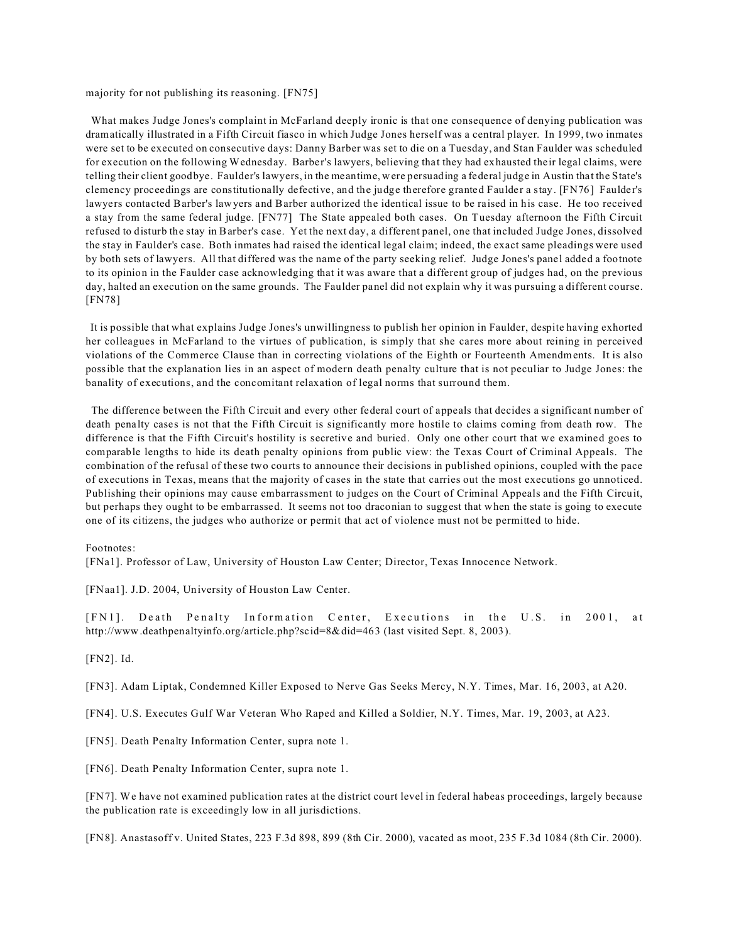majority for not publishing its reasoning. [FN75]

 What makes Judge Jones's complaint in McFarland deeply ironic is that one consequence of denying publication was dramatically illustrated in a Fifth Circuit fiasco in which Judge Jones herself was a central player. In 1999, two inmates were set to be executed on consecutive days: Danny Barber was set to die on a Tuesday, and Stan Faulder was scheduled for execution on the following Wednesday. Barber's lawyers, believing that they had exhausted their legal claims, were telling their client goodbye. Faulder's lawyers, in the meantime, were persuading a federal judge in Austin that the State's clemency proceedings are constitutionally defective, and the judge therefore granted Faulder a stay. [FN76] Faulder's lawyers contacted Barber's lawyers and Barber authorized the identical issue to be raised in his case. He too received a stay from the same federal judge. [FN77] The State appealed both cases. On Tuesday afternoon the Fifth Circuit refused to disturb the stay in Barber's case. Yet the next day, a different panel, one that included Judge Jones, dissolved the stay in Faulder's case. Both inmates had raised the identical legal claim; indeed, the exact same pleadings were used by both sets of lawyers. All that differed was the name of the party seeking relief. Judge Jones's panel added a footnote to its opinion in the Faulder case acknowledging that it was aware that a different group of judges had, on the previous day, halted an execution on the same grounds. The Faulder panel did not explain why it was pursuing a different course. [FN78]

 It is possible that what explains Judge Jones's unwillingness to publish her opinion in Faulder, despite having exhorted her colleagues in McFarland to the virtues of publication, is simply that she cares more about reining in perceived violations of the Commerce Clause than in correcting violations of the Eighth or Fourteenth Amendments. It is also possible that the explanation lies in an aspect of modern death penalty culture that is not peculiar to Judge Jones: the banality of executions, and the concomitant relaxation of legal norms that surround them.

 The difference between the Fifth Circuit and every other federal court of appeals that decides a significant number of death penalty cases is not that the Fifth Circuit is significantly more hostile to claims coming from death row. The difference is that the Fifth Circuit's hostility is secretive and buried. Only one other court that we examined goes to comparable lengths to hide its death penalty opinions from public view: the Texas Court of Criminal Appeals. The combination of the refusal of these two courts to announce their decisions in published opinions, coupled with the pace of executions in Texas, means that the majority of cases in the state that carries out the most executions go unnoticed. Publishing their opinions may cause embarrassment to judges on the Court of Criminal Appeals and the Fifth Circuit, but perhaps they ought to be embarrassed. It seems not too draconian to suggest that when the state is going to execute one of its citizens, the judges who authorize or permit that act of violence must not be permitted to hide.

### Footnotes:

[FNa1]. Professor of Law, University of Houston Law Center; Director, Texas Innocence Network.

[FNaa1]. J.D. 2004, University of Houston Law Center.

[FN1]. Death Penalty Information Center, Executions in the U.S. in 2001, at http://www.deathpenaltyinfo.org/article.php?scid=8&did=463 (last visited Sept. 8, 2003).

[FN2]. Id.

[FN3]. Adam Liptak, Condemned Killer Exposed to Nerve Gas Seeks Mercy, N.Y. Times, Mar. 16, 2003, at A20.

[FN4]. U.S. Executes Gulf War Veteran Who Raped and Killed a Soldier, N.Y. Times, Mar. 19, 2003, at A23.

[FN5]. Death Penalty Information Center, supra note 1.

[FN6]. Death Penalty Information Center, supra note 1.

[FN7]. We have not examined publication rates at the district court level in federal habeas proceedings, largely because the publication rate is exceedingly low in all jurisdictions.

[FN8]. Anastasoff v. United States, 223 F.3d 898, 899 (8th Cir. 2000), vacated as moot, 235 F.3d 1084 (8th Cir. 2000).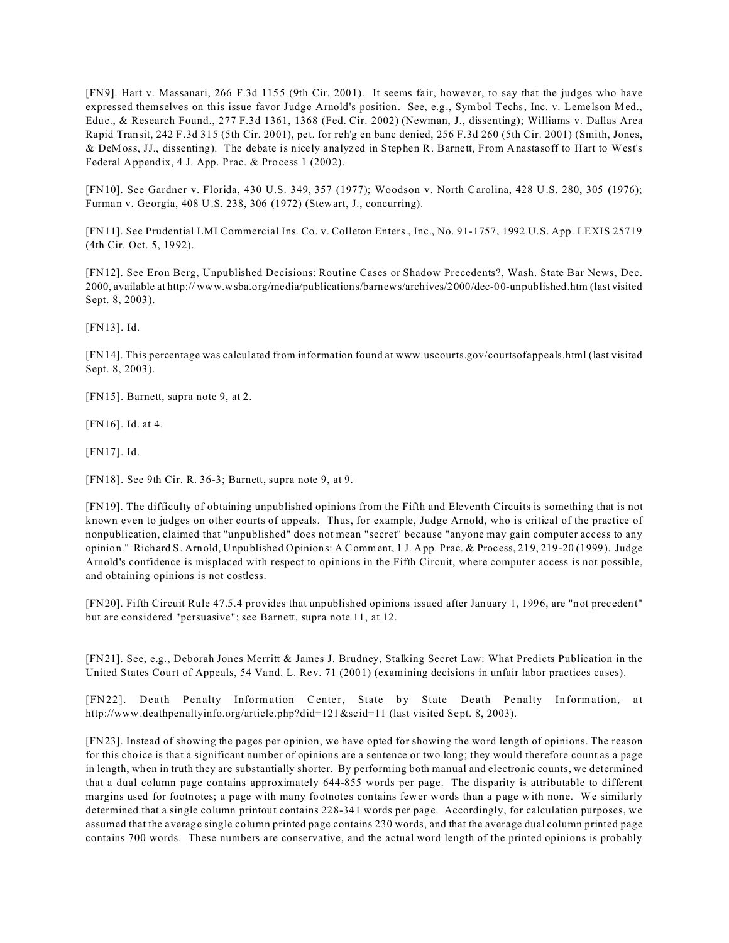[FN9]. Hart v. Massanari, 266 F.3d 1155 (9th Cir. 2001). It seems fair, however, to say that the judges who have expressed themselves on this issue favor Judge Arnold's position. See, e.g., Symbol Techs, Inc. v. Lemelson Med., Educ., & Research Found., 277 F.3d 1361, 1368 (Fed. Cir. 2002) (Newman, J., dissenting); Williams v. Dallas Area Rapid Transit, 242 F.3d 315 (5th Cir. 2001), pet. for reh'g en banc denied, 256 F.3d 260 (5th Cir. 2001) (Smith, Jones, & DeMoss, JJ., dissenting). The debate is nicely analyzed in Stephen R. Barnett, From Anastasoff to Hart to West's Federal Appendix, 4 J. App. Prac. & Process 1 (2002).

[FN10]. See Gardner v. Florida, 430 U.S. 349, 357 (1977); Woodson v. North Carolina, 428 U.S. 280, 305 (1976); Furman v. Georgia, 408 U.S. 238, 306 (1972) (Stewart, J., concurring).

[FN11]. See Prudential LMI Commercial Ins. Co. v. Colleton Enters., Inc., No. 91-1757, 1992 U.S. App. LEXIS 25719 (4th Cir. Oct. 5, 1992).

[FN12]. See Eron Berg, Unpublished Decisions: Routine Cases or Shadow Precedents?, Wash. State Bar News, Dec. 2000, available at http:// www.wsba.org/media/publications/barnews/archives/2000/dec-00-unpublished.htm (last visited Sept. 8, 2003).

[FN13]. Id.

[FN14]. This percentage was calculated from information found at www.uscourts.gov/courtsofappeals.html (last visited Sept. 8, 2003).

[FN15]. Barnett, supra note 9, at 2.

[FN16]. Id. at 4.

[FN17]. Id.

[FN18]. See 9th Cir. R. 36-3; Barnett, supra note 9, at 9.

[FN19]. The difficulty of obtaining unpublished opinions from the Fifth and Eleventh Circuits is something that is not known even to judges on other courts of appeals. Thus, for example, Judge Arnold, who is critical of the practice of nonpublication, claimed that "unpublished" does not mean "secret" because "anyone may gain computer access to any opinion." Richard S. Arnold, Unpublished Opinions: A Comment, 1 J. App. Prac. & Process, 219, 219-20 (1999). Judge Arnold's confidence is misplaced with respect to opinions in the Fifth Circuit, where computer access is not possible, and obtaining opinions is not costless.

[FN20]. Fifth Circuit Rule 47.5.4 provides that unpublished opinions issued after January 1, 1996, are "not precedent" but are considered "persuasive"; see Barnett, supra note 11, at 12.

[FN21]. See, e.g., Deborah Jones Merritt & James J. Brudney, Stalking Secret Law: What Predicts Publication in the United States Court of Appeals, 54 Vand. L. Rev. 71 (2001) (examining decisions in unfair labor practices cases).

[FN22]. Death Penalty Information Center, State by State Death Penalty Information, at http://www.deathpenaltyinfo.org/article.php?did=121&scid=11 (last visited Sept. 8, 2003).

[FN23]. Instead of showing the pages per opinion, we have opted for showing the word length of opinions. The reason for this choice is that a significant number of opinions are a sentence or two long; they would therefore count as a page in length, when in truth they are substantially shorter. By performing both manual and electronic counts, we determined that a dual column page contains approximately 644-855 words per page. The disparity is attributable to different margins used for footnotes; a page with many footnotes contains fewer words than a page with none. We similarly determined that a single column printout contains 228-341 words per page. Accordingly, for calculation purposes, we assumed that the average single column printed page contains 230 words, and that the average dual column printed page contains 700 words. These numbers are conservative, and the actual word length of the printed opinions is probably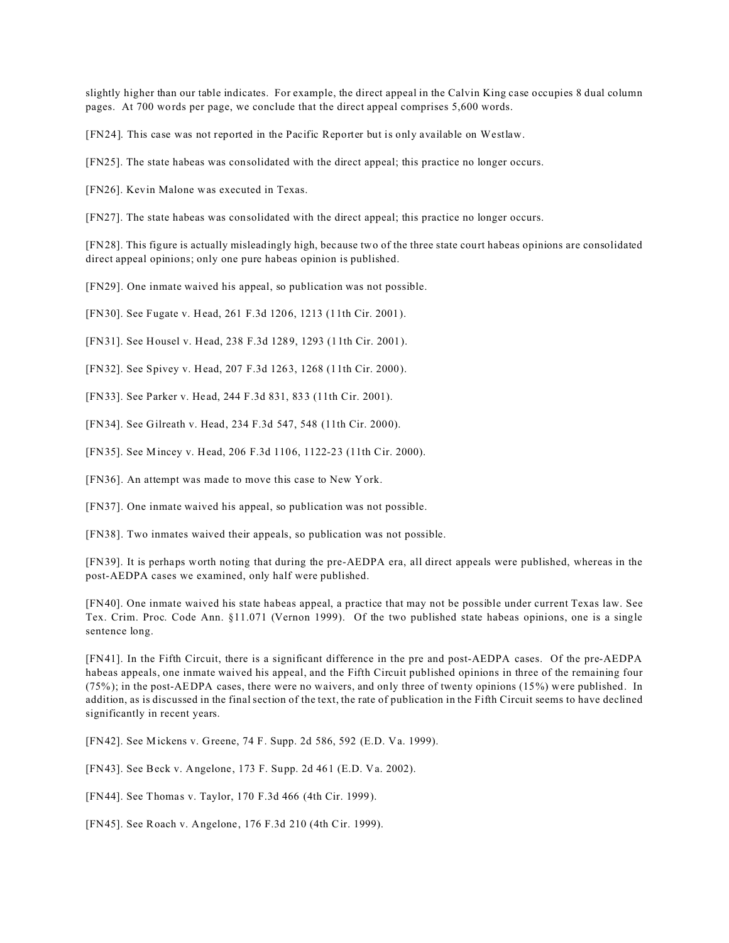slightly higher than our table indicates. For example, the direct appeal in the Calvin King case occupies 8 dual column pages. At 700 words per page, we conclude that the direct appeal comprises 5,600 words.

[FN24]. This case was not reported in the Pacific Reporter but is only available on Westlaw.

[FN25]. The state habeas was consolidated with the direct appeal; this practice no longer occurs.

[FN26]. Kevin Malone was executed in Texas.

[FN27]. The state habeas was consolidated with the direct appeal; this practice no longer occurs.

[FN28]. This figure is actually misleadingly high, because two of the three state court habeas opinions are consolidated direct appeal opinions; only one pure habeas opinion is published.

[FN29]. One inmate waived his appeal, so publication was not possible.

[FN30]. See Fugate v. Head, 261 F.3d 1206, 1213 (11th Cir. 2001).

[FN31]. See Housel v. Head, 238 F.3d 1289, 1293 (11th Cir. 2001).

[FN32]. See Spivey v. Head, 207 F.3d 1263, 1268 (11th Cir. 2000).

[FN33]. See Parker v. Head, 244 F.3d 831, 833 (11th Cir. 2001).

[FN34]. See Gilreath v. Head, 234 F.3d 547, 548 (11th Cir. 2000).

[FN35]. See Mincey v. Head, 206 F.3d 1106, 1122-23 (11th Cir. 2000).

[FN36]. An attempt was made to move this case to New York.

[FN37]. One inmate waived his appeal, so publication was not possible.

[FN38]. Two inmates waived their appeals, so publication was not possible.

[FN39]. It is perhaps worth noting that during the pre-AEDPA era, all direct appeals were published, whereas in the post-AEDPA cases we examined, only half were published.

[FN40]. One inmate waived his state habeas appeal, a practice that may not be possible under current Texas law. See Tex. Crim. Proc. Code Ann. §11.071 (Vernon 1999). Of the two published state habeas opinions, one is a single sentence long.

[FN41]. In the Fifth Circuit, there is a significant difference in the pre and post-AEDPA cases. Of the pre-AEDPA habeas appeals, one inmate waived his appeal, and the Fifth Circuit published opinions in three of the remaining four (75%); in the post-AEDPA cases, there were no waivers, and only three of twenty opinions (15%) were published. In addition, as is discussed in the final section of the text, the rate of publication in the Fifth Circuit seems to have declined significantly in recent years.

[FN42]. See Mickens v. Greene, 74 F. Supp. 2d 586, 592 (E.D. Va. 1999).

[FN43]. See Beck v. Angelone, 173 F. Supp. 2d 461 (E.D. Va. 2002).

[FN44]. See Thomas v. Taylor, 170 F.3d 466 (4th Cir. 1999).

[FN45]. See Roach v. Angelone, 176 F.3d 210 (4th Cir. 1999).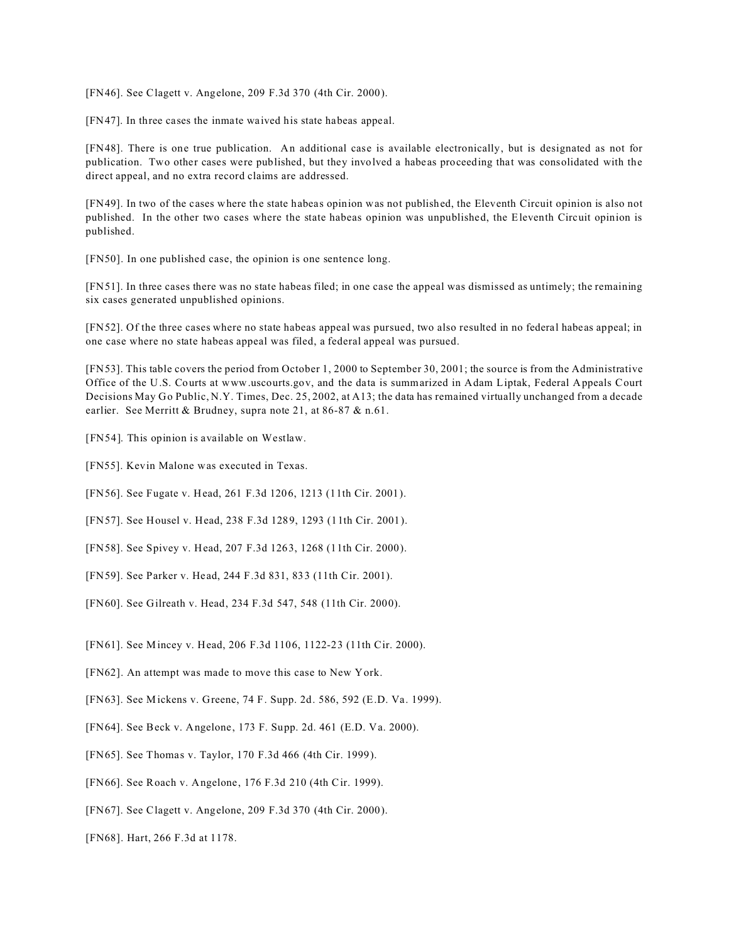[FN46]. See Clagett v. Angelone, 209 F.3d 370 (4th Cir. 2000).

[FN47]. In three cases the inmate waived his state habeas appeal.

[FN48]. There is one true publication. An additional case is available electronically, but is designated as not for publication. Two other cases were published, but they involved a habeas proceeding that was consolidated with the direct appeal, and no extra record claims are addressed.

[FN49]. In two of the cases where the state habeas opinion was not published, the Eleventh Circuit opinion is also not published. In the other two cases where the state habeas opinion was unpublished, the Eleventh Circuit opinion is published.

[FN50]. In one published case, the opinion is one sentence long.

[FN51]. In three cases there was no state habeas filed; in one case the appeal was dismissed as untimely; the remaining six cases generated unpublished opinions.

[FN52]. Of the three cases where no state habeas appeal was pursued, two also resulted in no federal habeas appeal; in one case where no state habeas appeal was filed, a federal appeal was pursued.

[FN53]. This table covers the period from October 1, 2000 to September 30, 2001; the source is from the Administrative Office of the U.S. Courts at www.uscourts.gov, and the data is summarized in Adam Liptak, Federal Appeals Court Decisions May Go Public, N.Y. Times, Dec. 25, 2002, at A13; the data has remained virtually unchanged from a decade earlier. See Merritt & Brudney, supra note 21, at 86-87 & n.61.

[FN54]. This opinion is available on Westlaw.

[FN55]. Kevin Malone was executed in Texas.

[FN56]. See Fugate v. Head, 261 F.3d 1206, 1213 (11th Cir. 2001).

[FN57]. See Housel v. Head, 238 F.3d 1289, 1293 (11th Cir. 2001).

[FN58]. See Spivey v. Head, 207 F.3d 1263, 1268 (11th Cir. 2000).

[FN59]. See Parker v. Head, 244 F.3d 831, 833 (11th Cir. 2001).

[FN60]. See Gilreath v. Head, 234 F.3d 547, 548 (11th Cir. 2000).

[FN61]. See Mincey v. Head, 206 F.3d 1106, 1122-23 (11th Cir. 2000).

[FN62]. An attempt was made to move this case to New York.

[FN63]. See Mickens v. Greene, 74 F. Supp. 2d. 586, 592 (E.D. Va. 1999).

[FN64]. See Beck v. Angelone, 173 F. Supp. 2d. 461 (E.D. Va. 2000).

[FN65]. See Thomas v. Taylor, 170 F.3d 466 (4th Cir. 1999).

[FN66]. See Roach v. Angelone, 176 F.3d 210 (4th Cir. 1999).

[FN67]. See Clagett v. Angelone, 209 F.3d 370 (4th Cir. 2000).

[FN68]. Hart, 266 F.3d at 1178.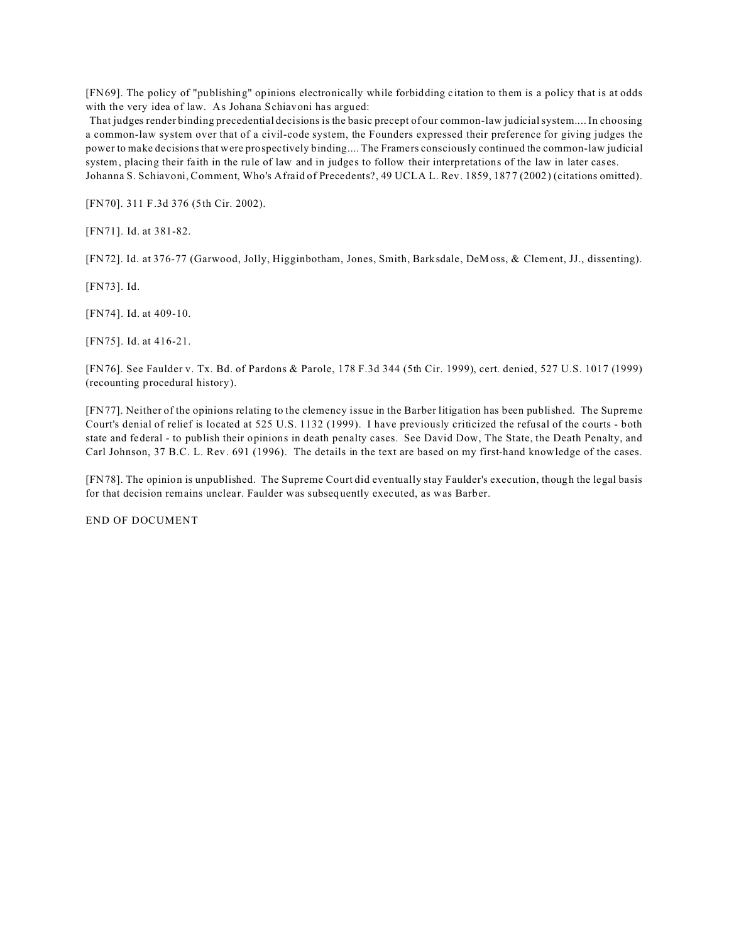[FN69]. The policy of "publishing" opinions electronically while forbidding citation to them is a policy that is at odds with the very idea of law. As Johana Schiavoni has argued:

 That judges render binding precedential decisions is the basic precept of our common-law judicial system.... In choosing a common-law system over that of a civil-code system, the Founders expressed their preference for giving judges the power to make decisions that were prospectively binding.... The Framers consciously continued the common-law judicial system, placing their faith in the rule of law and in judges to follow their interpretations of the law in later cases. Johanna S. Schiavoni, Comment, Who's Afraid of Precedents?, 49 UCLA L. Rev. 1859, 1877 (2002) (citations omitted).

[FN70]. 311 F.3d 376 (5th Cir. 2002).

[FN71]. Id. at 381-82.

[FN72]. Id. at 376-77 (Garwood, Jolly, Higginbotham, Jones, Smith, Barksdale, DeM oss, & Clement, JJ., dissenting).

[FN73]. Id.

[FN74]. Id. at 409-10.

[FN75]. Id. at 416-21.

[FN76]. See Faulder v. Tx. Bd. of Pardons & Parole, 178 F.3d 344 (5th Cir. 1999), cert. denied, 527 U.S. 1017 (1999) (recounting procedural history).

[FN77]. Neither of the opinions relating to the clemency issue in the Barber litigation has been published. The Supreme Court's denial of relief is located at 525 U.S. 1132 (1999). I have previously criticized the refusal of the courts - both state and federal - to publish their opinions in death penalty cases. See David Dow, The State, the Death Penalty, and Carl Johnson, 37 B.C. L. Rev. 691 (1996). The details in the text are based on my first-hand knowledge of the cases.

[FN78]. The opinion is unpublished. The Supreme Court did eventually stay Faulder's execution, though the legal basis for that decision remains unclear. Faulder was subsequently executed, as was Barber.

END OF DOCUMENT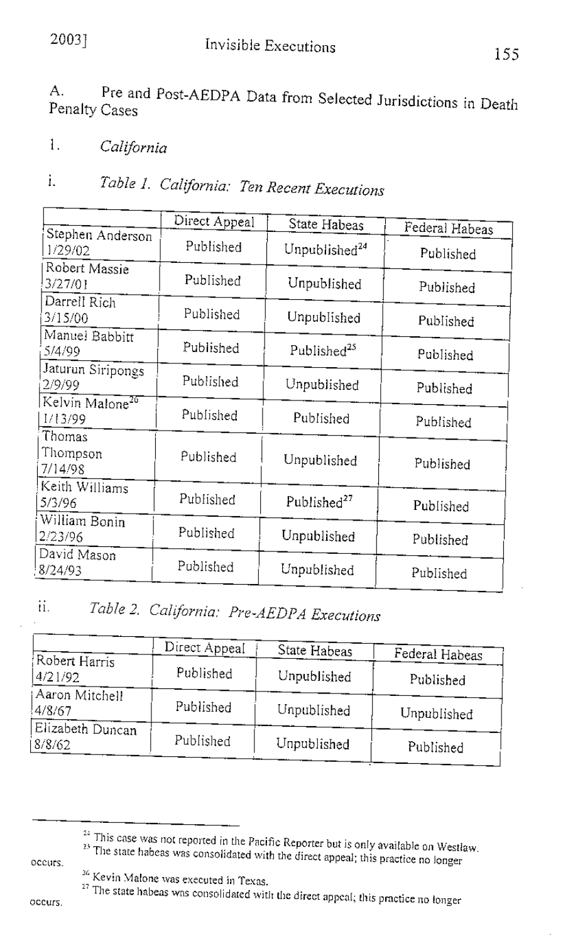155

Pre and Post-AEDPA Data from Selected Jurisdictions in Death A. Penalty Cases

 $\mathbf{1}$ . California

### Table 1. California: Ten Recent Executions ì.

|                                        | Direct Appeal | State Habeas              | Federal Habeas |
|----------------------------------------|---------------|---------------------------|----------------|
| Stephen Anderson<br>1/29/02            | Published     | Unpublished <sup>24</sup> | Published      |
| Robert Massie<br>3/27/01               | Published     | Unpublished               | Published      |
| Darrell Rich<br>3/15/00                | Published     | Unpublished               | Published      |
| Manuel Babbitt<br>5/4/99               | Published     | Published <sup>25</sup>   | Published      |
| Jaturun Siripongs<br>2/9/99            | Published     | Unpublished               | Published      |
| Kelvin Malone <sup>26</sup><br>1/13/99 | Published     | Published                 | Published      |
| Thomas<br>Thompson<br>7/14/98          | Published     | Unpublished               | Published      |
| Keith Williams<br>5/3/96               | Published     | Published <sup>27</sup>   | Published      |
| William Bonin<br>2/23/96               | Published     | Unpublished               | Published      |
| David Mason<br>8/24/93                 | Published     | Unpublished               | Published      |

### ii. Table 2. California: Pre-AEDPA Executions

|                            | Direct Appeal | State Habeas | Federal Habeas |
|----------------------------|---------------|--------------|----------------|
| Robert Harris<br>4/21/92   | Published     | Unpublished  | Published      |
| Aaron Mitchell<br>4/8/67   | Published     | Unpublished  | Unpublished    |
| Elizabeth Duncan<br>8/8/62 | Published     | Unpublished  | Published      |

occurs.

<sup>&</sup>lt;sup>22</sup> This case was not reported in the Pacific Reporter but is only available on Westlaw. The state habeas was consolidated with the direct appeal; this practice no longer

<sup>&</sup>lt;sup>26</sup> Kevin Malone was executed in Texas.

The state habeas was consolidated with the direct appeal; this practice no longer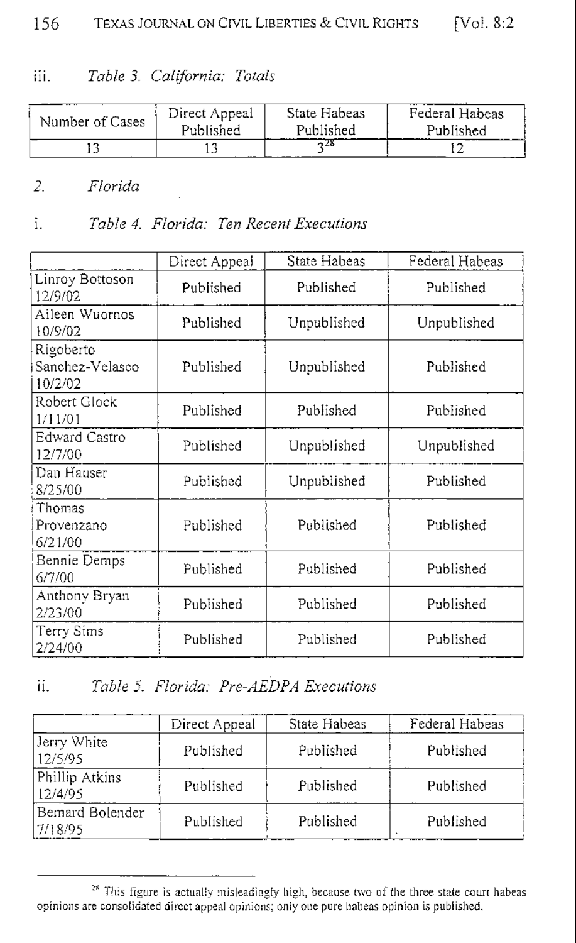#### Table 3. California: Totals iii.

| Number of Cases | Direct Appeal | State Habeas | Federal Habeas |
|-----------------|---------------|--------------|----------------|
|                 | Published     | Published    | Published      |
|                 |               |              |                |

#### $2.$ Florida

#### Table 4. Florida: Ten Recent Executions ì.

|                                         | Direct Appeal | State Habeas | Federal Habeas |
|-----------------------------------------|---------------|--------------|----------------|
| Linroy Bottoson<br>12/9/02              | Published     | Published    | Published      |
| Aileen Wuornos<br>10/9/02               | Published     | Unpublished  | Unpublished    |
| Rigoberto<br>Sanchez-Velasco<br>10/2/02 | Published     | Unpublished  | Published      |
| Robert Glock<br>1/11/01                 | Published     | Published    | Published      |
| Edward Castro<br>12/7/00                | Published     | Unpublished  | Unpublished    |
| Dan Hauser<br>8/25/00                   | Published     | Unpublished  | Published      |
| Thomas<br>Provenzano<br>6/21/00         | Published     | Published    | Published      |
| Bennie Demps<br>6/7/00                  | Published     | Published    | Published      |
| Anthony Bryan<br>2/23/00                | Published     | Published    | Published      |
| Terry Sims<br>2/24/00                   | Published     | Published    | Published      |

#### Table 5. Florida: Pre-AEDPA Executions ii.

|                             | Direct Appeal | State Habeas | Federal Habeas            |
|-----------------------------|---------------|--------------|---------------------------|
| Jerry White<br>12/5/95      | Published     | Published    | Published                 |
| Phillip Atkins<br>12/4/95   | Published     | Published    | Published                 |
| Bemard Bolender<br>17/18/95 | Published     | Published    | Published<br>$\mathbf{r}$ |

<sup>&</sup>lt;sup>28</sup> This figure is actually misleadingly high, because two of the three state court habeas opinions are consolidated direct appeal opinions; only one pure habeas opinion is published.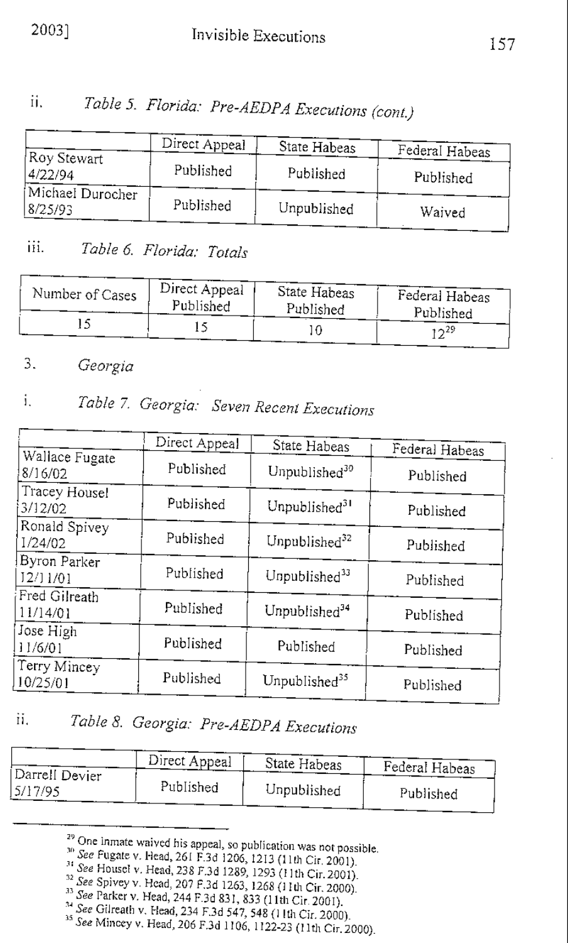## 20031

### Table 5. Florida: Pre-AEDPA Executions (cont.) ii.

|                             | Direct Appeal | State Habeas | Federal Habeas |
|-----------------------------|---------------|--------------|----------------|
| Roy Stewart<br>4/22/94      | Published     | Published    | Published      |
| Michael Durocher<br>8/25/93 | Published     | Unpublished  | Waived         |

#### Table 6. Florida: Totals iii.

| Number of Cases | Direct Appeal | State Habeas | Federal Habeas |
|-----------------|---------------|--------------|----------------|
|                 | Published     | Published    | Published      |
|                 |               |              | 29ء -          |

#### 3. Georgia

### Table 7. Georgia: Seven Recent Executions i.

|                           | Direct Appeal | State Habeas              | Federal Habeas |
|---------------------------|---------------|---------------------------|----------------|
| Wallace Fugate<br>8/16/02 | Published     | Unpublished <sup>30</sup> | Published      |
| Tracey Housel<br>3/12/02  | Published     | Unpublished <sup>31</sup> | Published      |
| Ronald Spivey<br>1/24/02  | Published     | Unpublished <sup>32</sup> | Published      |
| Byron Parker<br>12/11/01  | Published     | Unpublished <sup>33</sup> | Published      |
| Fred Gilreath<br>11/14/01 | Published     | Unpublished <sup>34</sup> | Published      |
| Jose High<br>11/6/01      | Published     | Published                 | Published      |
| Terry Mincey<br>10/25/01  | Published     | Unpublished <sup>35</sup> | Published      |

### ii. Table 8. Georgia: Pre-AEDPA Executions

|                           | Direct Appeal | State Habeas | Federal Habeas |
|---------------------------|---------------|--------------|----------------|
| Darrell Devier<br>5/17/95 | Published     | Unpublished  | Published      |

<sup>&</sup>lt;sup>29</sup> One inmate waived his appeal, so publication was not possible.

<sup>&</sup>lt;sup>30</sup> See Fugate v. Head, 261 F.3d 1206, 1213 (11th Cir. 2001).

 $\frac{3!}{2!}$  See Housel v. Head, 238 F.3d 1289, 1293 (11th Cir. 2001).

<sup>&</sup>lt;sup>32</sup> See Spivey v. Head, 207 F.3d 1263, 1268 (11th Cir. 2000).

<sup>33</sup> See Parker v. Head, 244 F.3d 831, 833 (11th Cir. 2001).

<sup>&</sup>lt;sup>34</sup> See Gilreath v. Head, 234 F.3d 547, 548 (11th Cir. 2000).

<sup>&</sup>lt;sup>35</sup> See Mincey v. Head, 206 F.3d 1106, 1122-23 (11th Cir. 2000).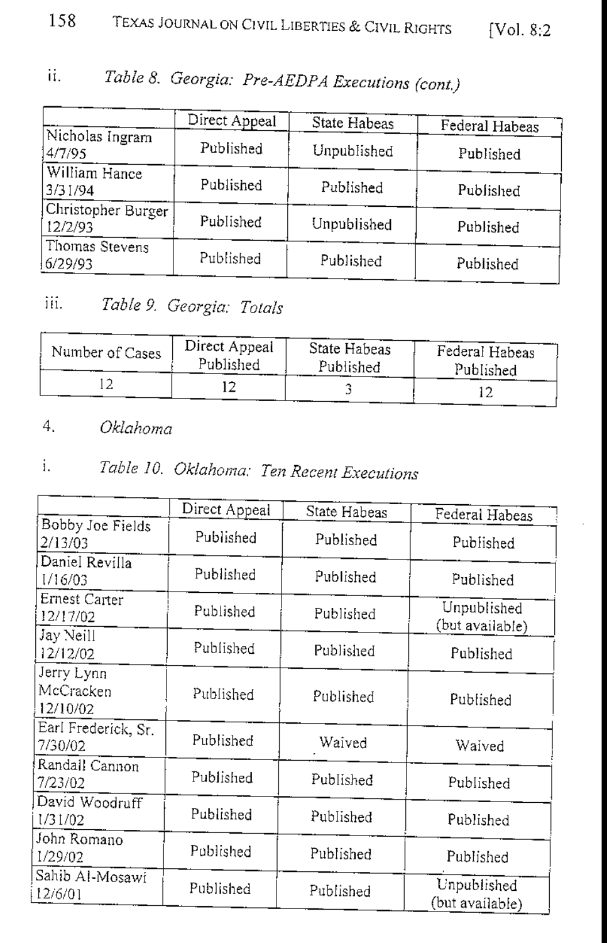#### 158 TEXAS JOURNAL ON CIVIL LIBERTIES & CIVIL RIGHTS [Vol. 8:2]

### ii. Table 8. Georgia: Pre-AEDPA Executions (cont.)

|                               | Direct Appeal | State Habeas | Federal Habeas |
|-------------------------------|---------------|--------------|----------------|
| Nicholas Ingram<br>4/7/95     | Published     | Unpublished  | Published      |
| William Hance<br>3/31/94      | Published     | Published    | Published      |
| Christopher Burger<br>12/2/93 | Published     | Unpublished  | Published      |
| Thomas Stevens<br>6/29/93     | Published     | Published    | Published      |

### iii. Table 9. Georgia: Totals

| Number of Cases | Direct Appeal | State Habeas | Federal Habeas |
|-----------------|---------------|--------------|----------------|
|                 | Published     | Published    | Published      |
|                 |               |              |                |

#### 4. Oklahoma

### Table 10. Oklahoma: Ten Recent Executions i.

|                     | Direct Appeal |              |                 |
|---------------------|---------------|--------------|-----------------|
| Bobby Joe Fields    |               | State Habeas | Federal Habeas  |
| 2/13/03             | Published     | Published    |                 |
|                     |               |              | Published       |
| Daniel Revilla      | Published     |              |                 |
| 1/16/03             |               | Published    | Published       |
| Ernest Carter       |               |              |                 |
| 12/17/02            | Published     | Published    | Unpublished     |
| Jay Neill           |               |              | (but available) |
| 12/12/02            | Published     | Published    | Published       |
|                     |               |              |                 |
| Jerry Lynn          |               |              |                 |
| McCracken           | Published     | Published    | Published       |
| 12/10/02            |               |              |                 |
| Earl Frederick, Sr. |               |              |                 |
| 7/30/02             | Published     | Waived       | Waived          |
| Randall Cannon      |               |              |                 |
| 7/23/02             | Published     | Published    | Published       |
| David Woodruff      |               |              |                 |
|                     | Published     | Published    |                 |
| 1/31/02             |               |              | Published       |
| John Romano         |               |              |                 |
| 1/29/02             | Published     | Published    | Published       |
| Sahib Al-Mosawi     |               |              |                 |
| 12/6/01             | Published     | Published    | Unpublished     |
|                     |               |              | (but available) |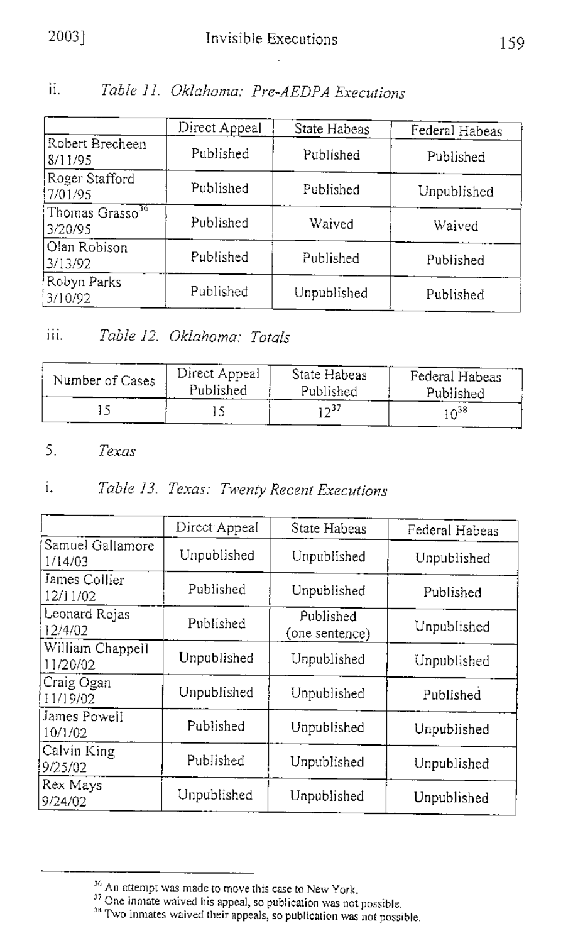ii. Table 11. Oklahoma: Pre-AEDPA Executions

|                                        | Direct Appeal | State Habeas | Federal Habeas |
|----------------------------------------|---------------|--------------|----------------|
| Robert Brecheen<br>8/11/95             | Published     | Published    | Published      |
| Roger Stafford<br>7/01/95              | Published     | Published    | Unpublished    |
| Thomas Grasso <sup>36</sup><br>3/20/95 | Published     | Waived       | Waived         |
| Olan Robison<br>3/13/92                | Published     | Published    | Published      |
| Robyn Parks<br>3/10/92                 | Published     | Unpublished  | Published      |

#### iii. Table 12, Oklahoma: Totals

| Number of Cases | Direct Appeal | State Habeas | Federal Habeas |
|-----------------|---------------|--------------|----------------|
|                 | Published     | Published    | Published      |
|                 |               | 37ء ر        | 38،1           |

#### $\mathsf{S}$ . Texas

#### i. Table 13. Texas: Twenty Recent Executions

|                                     | Direct Appeal | State Habeas                | Federal Habeas |
|-------------------------------------|---------------|-----------------------------|----------------|
| Samuel Gallamore<br>1/14/03         | Unpublished   | Unpublished                 | Unpublished    |
| James Collier<br>12/11/02           | Published     | Unpublished                 | Published      |
| Leonard Rojas<br>12/4/02            | Published     | Published<br>(one sentence) | Unpublished    |
| William Chappell<br>11/20/02        | Unpublished   | Unpublished                 | Unpublished    |
| Craig Ogan<br>H <sub>1</sub> /19/02 | Unpublished   | Unpublished                 | Published      |
| James Powell<br>10/1/02             | Published     | Unpublished                 | Unpublished    |
| Calvin King<br>9/25/02              | Published     | Unpublished                 | Unpublished    |
| Rex Mays<br>9/24/02                 | Unpublished   | Unpublished                 | Unpublished    |

<sup>&</sup>lt;sup>36</sup> An attempt was made to move this case to New York.<br><sup>37</sup> One inmate waived his appeal, so publication was not possible.<br><sup>38</sup> Two inmates waived their appeals, so publication was not possible.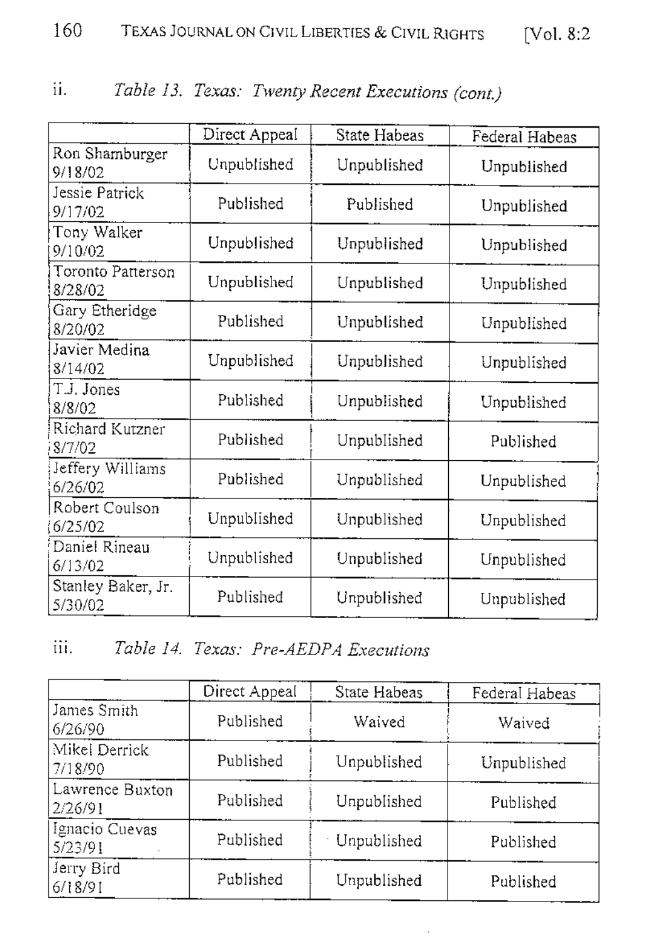| $\cdots$<br>11. |  |  | Table 13. Texas: Twenty Recent Executions (cont.) |  |  |
|-----------------|--|--|---------------------------------------------------|--|--|
|-----------------|--|--|---------------------------------------------------|--|--|

|                               | Direct Appeal | State Habeas | Federal Habeas |
|-------------------------------|---------------|--------------|----------------|
| Ron Shamburger<br>9/18/02     | Unpublished   | Unpublished  | Unpublished    |
| Jessie Patrick<br>9/17/02     | Published     | Published    | Unpublished    |
| Tony Walker<br>9/10/02        | Unpublished   | Unpublished  | Unpublished    |
| Toronto Patterson<br>8/28/02  | Unpublished   | Unpublished  | Unpublished    |
| Gary Etheridge<br>8/20/02     | Published     | Unpublished  | Unpublished    |
| Javier Medina<br>8/14/02      | Unpublished   | Unpublished  | Unpublished    |
| T.J. Jones<br>8/8/02          | Published     | Unpublished  | Unpublished    |
| Richard Kutzner<br>8/7/02     | Published     | Unpublished  | Published      |
| Jeffery Williams<br>6/26/02   | Published     | Unpublished  | Unpublished    |
| Robert Coulson<br>6/25/02     | Unpublished   | Unpublished  | Unpublished    |
| Daniel Rineau<br>6/13/02      | Unpublished   | Unpublished  | Unpublished    |
| Stanley Baker, Jr.<br>5/30/02 | Published     | Unpublished  | Unpublished    |

## iii. Table 14. Texas: Pre-AEDPA Executions

|                            | Direct Appeal | State Habeas       | Federal Habeas |
|----------------------------|---------------|--------------------|----------------|
| James Smith<br>6/26/90     | Published     | Waived             | Waived         |
| Mikel Derrick<br>7/18/90   | Published     | Unpublished        | Unpublished    |
| Lawrence Buxton<br>2/26/91 | Published     | Unpublished        | Published      |
| Ignacio Cuevas<br>5/23/91  | Published     | <b>Unpublished</b> | Published      |
| Jerry Bird<br>6/18/91      | Published     | Unpublished        | Published      |

 $\bar{z}$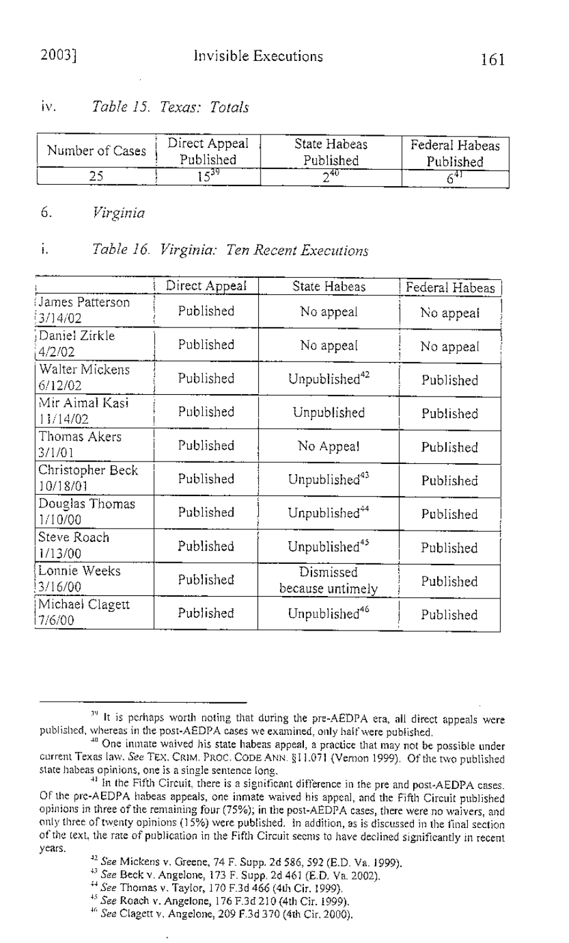Table 15. Texas: Totals iv.

| Number of Cases | Direct Appeal | State Habeas | Federal Habeas |
|-----------------|---------------|--------------|----------------|
|                 | Published     | Published    | Published      |
| - 11            | -39           |              |                |

6. Virginia

#### i. Table 16. Virginia: Ten Recent Executions

|                              | Direct Appeal | State Habeas                  | Federal Habeas |
|------------------------------|---------------|-------------------------------|----------------|
| James Patterson<br>3/14/02   | Published     | No appeal                     | No appeal      |
| Daniel Zirkle<br>4/2/02      | Published     | No appeal                     | No appeal      |
| Walter Mickens<br>6/12/02    | Published     | Unpublished <sup>42</sup>     | Published      |
| Mir Aimal Kasi<br>11/14/02   | Published     | Unpublished                   | Published      |
| Thomas Akers<br>3/1/01       | Published     | No Appeal                     | Published      |
| Christopher Beck<br>10/18/01 | Published     | Unpublished <sup>43</sup>     | Published      |
| Douglas Thomas<br>1/10/00    | Published     | Unpublished <sup>44</sup>     | Published      |
| Steve Roach<br>1/13/00       | Published     | Unpublished <sup>45</sup>     | Published      |
| Lonnie Weeks<br>3/16/00      | Published     | Dismissed<br>because untimely | Published      |
| Michael Clagett<br>17/6/00   | Published     | Unpublished <sup>46</sup>     | Published      |

<sup>&</sup>lt;sup>19</sup> It is perhaps worth noting that during the pre-AEDPA era, all direct appeals were published, whereas in the post-AEDPA cases we examined, only half were published.

<sup>40</sup> One inmate waived his state habeas appeal, a practice that may not be possible under current Texas law. See TEX. CRIM. PROC. CODE ANN. §11.071 (Vernon 1999). Of the two published state habeas opinions, one is a single sentence long,

<sup>&</sup>lt;sup>41</sup> In the Fifth Circuit, there is a significant difference in the pre and post-AEDPA cases. Of the pre-AEDPA habeas appeals, one inmate waived his appeal, and the Fifth Circuit published opinions in three of the remaining four (75%), in the post-AEDPA cases, there were no waivers, and only three of twenty opinions (15%) were published. In addition, as is discussed in the final section of the text, the rate of publication in the Fifth Circuit seems to have declined significantly in recent years.

<sup>&</sup>lt;sup>42</sup> See Mickens v. Greene, 74 F. Supp. 2d 586, 592 (E.D. Va. 1999).

<sup>&</sup>lt;sup>43</sup> See Beck v. Angelone, 173 F. Supp. 2d 461 (E.D. Va. 2002).

<sup>&</sup>lt;sup>44</sup> See Thomas v. Taylor, 170 F.3d 466 (4th Cir. 1999).

<sup>&</sup>lt;sup>45</sup> See Roach v. Angelone, 176 F.3d 210 (4th Cir. 1999).

<sup>&</sup>lt;sup>46</sup> See Clagett v. Angelone, 209 F.3d 370 (4th Cir. 2000).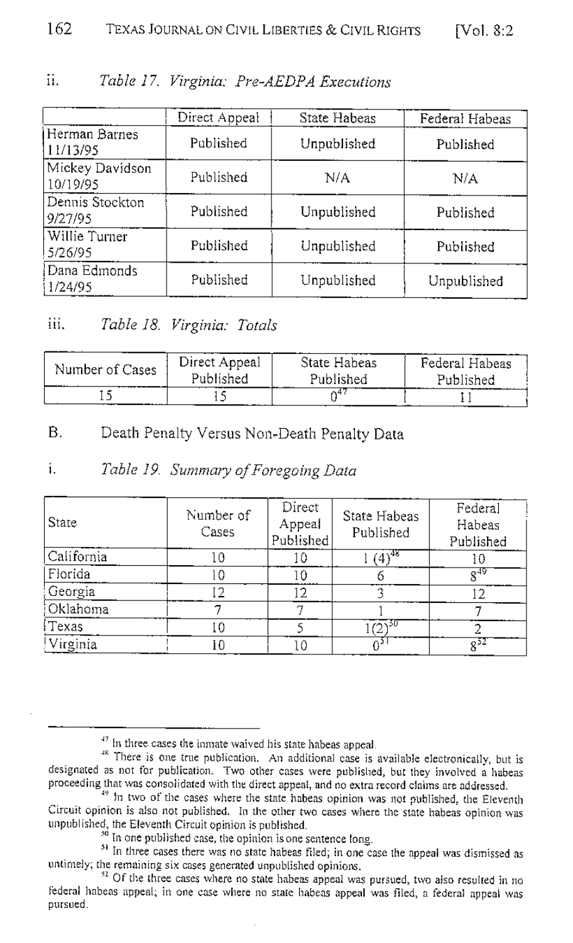|                             | Direct Appeal | State Habeas | Federal Habeas |
|-----------------------------|---------------|--------------|----------------|
| Herman Barnes<br>11/13/95   | Published     | Unpublished  | Published      |
| Mickey Davidson<br>10/19/95 | Published     | N/A          | N/A            |
| Dennis Stockton<br>9/27/95  | Published     | Unpublished  | Published      |
| Willie Turner<br>5/26/95    | Published     | Unpublished  | Published      |
| Dana Edmonds<br>1/24/95     | Published     | Unpublished  | Unpublished    |

#### Table 17. Virginia: Pre-AEDPA Executions 11 L

#### Table 18. Virginia: Totals iii -

| Number of Cases | Direct Appeal<br>Published | State Habeas<br>Published<br>-- ----- | Federal Habeas<br>Published |  |
|-----------------|----------------------------|---------------------------------------|-----------------------------|--|
|                 |                            |                                       | -----                       |  |

#### $\mathbf{R}$ Death Penalty Versus Non-Death Penalty Data

#### í. Table 19. Summary of Foregoing Data

| State      | Number of<br>Cases | Direct<br>Appeal<br>Published | State Habeas<br>Published | Federal<br>Habeas<br>Published |
|------------|--------------------|-------------------------------|---------------------------|--------------------------------|
| California |                    |                               | $(4)^{48}$                | ١O                             |
| Florida    |                    |                               |                           |                                |
| Georgia    |                    | 2                             |                           |                                |
| Oklahoma   |                    |                               |                           |                                |
| Texas      |                    |                               | $(2)^{50}$                |                                |
| Virginia   |                    | ιO                            |                           | $8^{52}$                       |

<sup>&</sup>lt;sup>47</sup> In three cases the inmate waived his state habeas appeal.

<sup>&</sup>lt;sup>48</sup> There is one true publication. An additional case is available electronically, but is designated as not for publication. Two other cases were published, but they involved a habeas proceeding that was consolidated with the direct appeal, and no extra record claims are addressed.

<sup>&</sup>lt;sup>49</sup> In two of the cases where the state habeas opinion was not published, the Eleventh Circuit opinion is also not published. In the other two cases where the state habeas opinion was unpublished, the Eleventh Circuit opinion is published.

<sup>&</sup>lt;sup>50</sup> In one published case, the opinion is one sentence long.

<sup>&</sup>lt;sup>51</sup> In three cases there was no state habeas filed; in one case the appeal was dismissed as untimely; the remaining six cases generated unpublished opinions.

<sup>&</sup>lt;sup>52</sup> Of the three cases where no state habeas appeal was pursued, two also resulted in no federal habeas appeal, in one case where no state habeas appeal was filed, a federal appeal was pursued.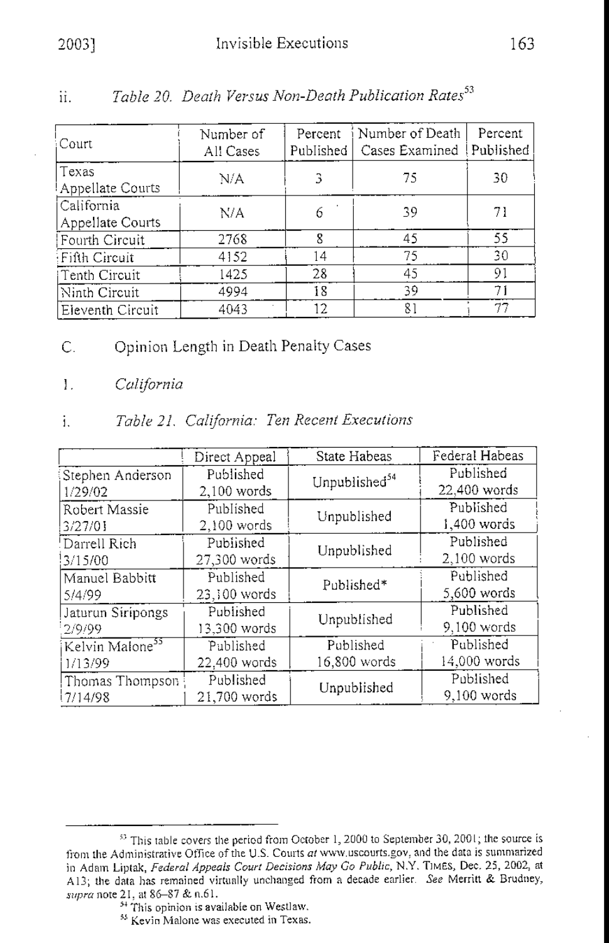| :Court                         | Number of<br>All Cases | Percent<br>Published | Number of Death<br>Cases Examined Published | Percent |
|--------------------------------|------------------------|----------------------|---------------------------------------------|---------|
| Texas<br>Appellate Courts      | N/A                    |                      | 75                                          | 30      |
| California<br>Appellate Courts | N/A                    |                      | 39                                          | 71      |
| Fourth Circuit                 | 2768                   | 8                    | 45                                          | 55      |
| Fifth Circuit                  | 4152                   | 14                   | 75                                          | 30      |
| iTenth Circuit                 | 1425                   | 28                   | 45                                          | 91      |
| Ninth Circuit                  | 4994                   | 18                   | 39                                          | 71      |
| Eleventh Circuit               | 4043                   | 12                   | 81                                          | 77      |

#### Toble 20 Death Versus Non-Death Publication Rates<sup>53</sup> Ħ.

- Opinion Length in Death Penalty Cases  $\overline{C}$ .
- $\mathbf{L}$ California

#### Table 21. California: Ten Recent Executions i.

|                             | Direct Appeal | State Habeas              | Federal Habeas |
|-----------------------------|---------------|---------------------------|----------------|
| Stephen Anderson            | Published     | Unpublished <sup>54</sup> | Published      |
| 1/29/02                     | 2,100 words   |                           | 22,400 words   |
| Robert Massie               | Published     | Unpublished               | Published      |
| 3/27/01                     | 2,100 words   |                           | 1,400 words    |
| Darrell Rich!               | Published     | Unpublished               | Published      |
| 3/15/00                     | 27,300 words  |                           | 2,100 words    |
| Manuel Babbitt              | Published     | Published*                | Published      |
| 5/4/99                      | 23,100 words  |                           | 5,600 words    |
| Jaturun Siripongs           | Published     | Unpublished               | Published      |
| 2/9/99                      | 13,300 words  |                           | 9,100 words    |
| Kelvin Malone <sup>55</sup> | Published     | Published                 | Published      |
| 1/13/99                     | 22,400 words  | 16,800 words              | 14,000 words   |
| Thomas Thompson             | Published     | Unpublished               | Published      |
| 7/14/98                     | 21,700 words  |                           | 9,100 words    |

<sup>55</sup> Kevin Malone was executed in Texas.

<sup>&</sup>lt;sup>53</sup> This table covers the period from October 1, 2000 to September 30, 2001; the source is from the Administrative Office of the U.S. Courts at www.uscourts.gov, and the data is summarized in Adam Liptak, Federal Appeals Court Decisions May Go Public, N.Y. TIMES, Dec. 25, 2002, at A13; the data has remained virtually unchanged from a decade earlier. See Merritt & Brudney, supra note 21, at 86-87 & n.61.<br><sup>54</sup> This opinion is available on Westlaw.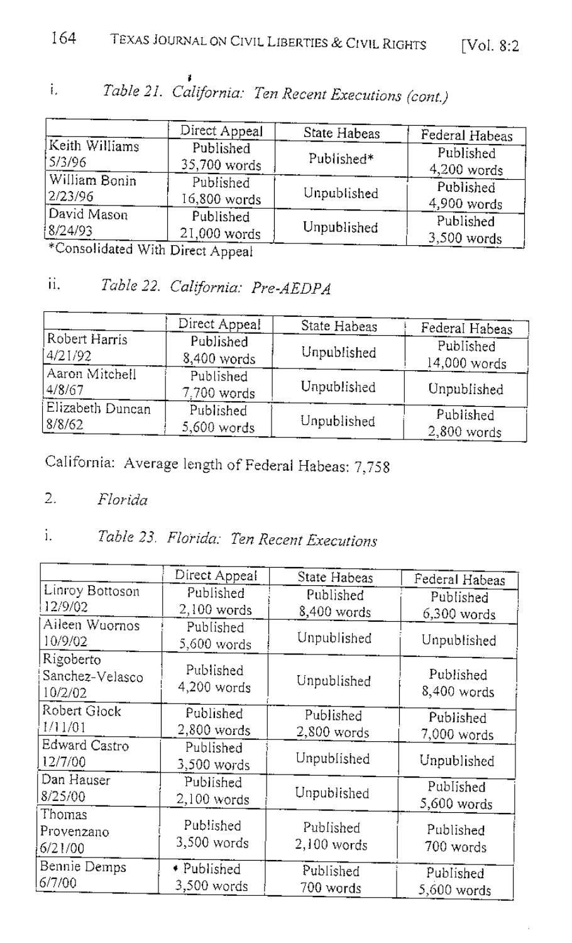|                | Direct Appeal | State Habeas | Federal Habeas |
|----------------|---------------|--------------|----------------|
| Keith Williams | Published     | Published*   | Published      |
| 15/3/96        | 35,700 words  |              | $4,200$ words  |
| William Bonin  | Published     | Unpublished  | Published      |
| 2/23/96        | 16,800 words  |              | 4,900 words    |
| David Mason    | Published     | Unpublished  | Published      |
| 8/24/93        | 21,000 words  |              | $3,500$ words  |

### Table 21. California: Ten Recent Executions (cont.)  $\mathbf{i}$

Consolidated With Direct Appeal

#### ii. Table 22. California: Pre-AEDPA

|                            | Direct Appeal            | State Habeas | Federal Habeas             |
|----------------------------|--------------------------|--------------|----------------------------|
| Robert Harris              | Published                | Unpublished  | Published                  |
| 4/21/92                    | 8,400 words              |              | 14,000 words               |
| Aaron Mitchell<br> 4/8/67  | Published<br>7.700 words | Unpublished  | Unpublished                |
| Elizabeth Duncan<br>8/8/62 | Published<br>5,600 words | Unpublished  | Published<br>$2,800$ words |

California: Average length of Federal Habeas: 7,758

Florida 2.

### Table 23. Florida: Ten Recent Executions i.

|               |                                                                                                                  | Federal Habeas                                                                                                                                               |
|---------------|------------------------------------------------------------------------------------------------------------------|--------------------------------------------------------------------------------------------------------------------------------------------------------------|
|               | Published                                                                                                        | Published                                                                                                                                                    |
| $2,100$ words |                                                                                                                  | 6,300 words                                                                                                                                                  |
| Published     |                                                                                                                  |                                                                                                                                                              |
| 5,600 words   |                                                                                                                  | Unpublished                                                                                                                                                  |
| Published     | Unpublished                                                                                                      | Published<br>8,400 words                                                                                                                                     |
|               |                                                                                                                  |                                                                                                                                                              |
|               |                                                                                                                  | Published                                                                                                                                                    |
|               |                                                                                                                  | 7,000 words                                                                                                                                                  |
|               |                                                                                                                  |                                                                                                                                                              |
| 3,500 words   |                                                                                                                  | Unpublished                                                                                                                                                  |
| Published     |                                                                                                                  | Published                                                                                                                                                    |
| $2,100$ words |                                                                                                                  | 5,600 words                                                                                                                                                  |
|               |                                                                                                                  |                                                                                                                                                              |
|               |                                                                                                                  | Published                                                                                                                                                    |
|               |                                                                                                                  | 700 words                                                                                                                                                    |
| • Published   |                                                                                                                  | Published                                                                                                                                                    |
| 3,500 words   |                                                                                                                  | 5,600 words                                                                                                                                                  |
|               | Direct Appeal<br>Published<br>4,200 words<br>Published<br>$2,800$ words<br>Published<br>Published<br>3,500 words | State Habeas<br>8,400 words<br>Unpublished<br>Published<br>$2,800$ words<br>Unpublished<br>Unpublished<br>Published<br>2,100 words<br>Published<br>700 words |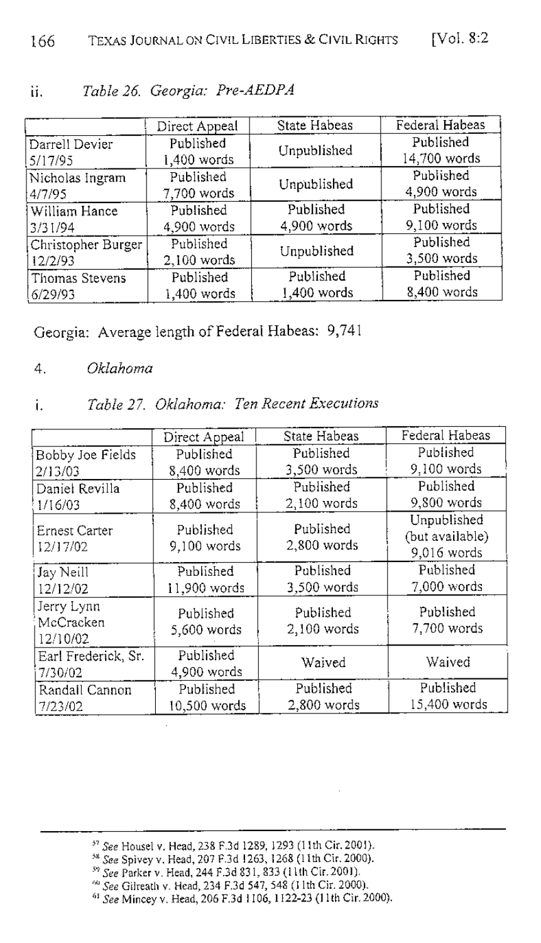|                    | Direct Appeal | State Habeas | Federal Habeas |
|--------------------|---------------|--------------|----------------|
| Darrell Devier     | Published     |              | Published      |
| 5/17/95            | 1,400 words   | Unpublished  | 14,700 words   |
| Nicholas Ingram    | Published     |              | Published      |
| 4/7/95             | 7,700 words   | Unpublished  | 4,900 words    |
| William Hance      | Published     | Published    | Published      |
| 3/31/94            | 4,900 words   | 4,900 words  | 9,100 words    |
| Christopher Burger | Published     |              | Published      |
| 12/2/93            | $2,100$ words | Unpublished  | 3,500 words    |
| Thomas Stevens     | Published     | Published    | Published      |
| 6/29/93            | 1,400 words   | 1,400 words  | 8,400 words    |

#### Table 26. Georgia: Pre-AEDPA ii.

Georgia: Average length of Federal Habeas: 9,741

#### 4. Oklahoma

#### Table 27. Oklahoma: Ten Recent Executions i.

|                                     | Direct Appeal            | State Habeas             | Federal Habeas                                |
|-------------------------------------|--------------------------|--------------------------|-----------------------------------------------|
| Bobby Joe Fields                    | Published                | Published                | Published                                     |
| 2/13/03                             | 8,400 words              | 3,500 words              | 9.100 words                                   |
| Daniel Revilla                      | Published                | Published                | Published                                     |
| 1/16/03                             | 8,400 words              | 2,100 words              | $9,800$ words                                 |
| Ernest Carter<br>12/17/02           | Published<br>9,100 words | Published<br>2,800 words | Unpublished<br>(but available)<br>9,016 words |
| Jay Neill                           | Published                | Published                | Published                                     |
| 12/12/02                            | 11,900 words             | $3,500$ words            | 7,000 words                                   |
| Jerry Lynn<br>McCracken<br>12/10/02 | Published<br>5,600 words | Published<br>2,100 words | Published<br>7,700 words                      |
| Earl Frederick, Sr.<br>7/30/02      | Published<br>4,900 words | Waived                   | Waived                                        |
| Randall Cannon                      | Published                | Published                | Published                                     |
| 7/23/02                             | $10,500$ words           | $2,800$ words            | 15,400 words                                  |

- 
- <sup>59</sup> See Parker v. Head, 244 F.3d 831, 833 (11th Cir. 2001).
- 

<sup>&</sup>lt;sup>57</sup> See Housel v. Head, 238 F.3d 1289, 1293 (11th Cir. 2001).<br><sup>58</sup> See Spivey v. Head, 207 F.3d 1263, 1268 (11th Cir. 2000).

See Gilreath v. Head, 234 F.3d 547, 548 (11th Cir. 2000).<br><sup>61</sup> See Gilreath v. Head, 234 F.3d 547, 548 (11th Cir. 2000).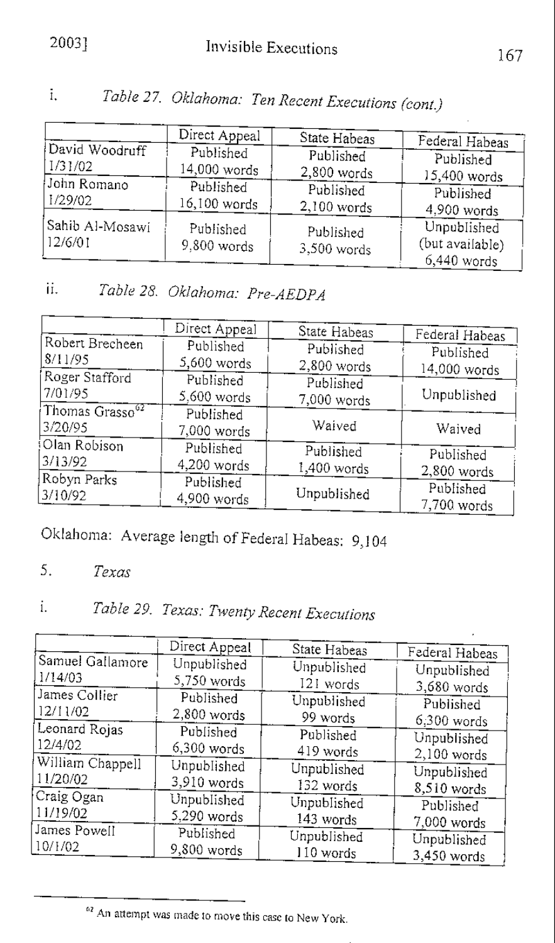## 2003]

|                            | Direct Appeal              | State Habeas               | Federal Habeas                                  |
|----------------------------|----------------------------|----------------------------|-------------------------------------------------|
| David Woodruff             | Published                  | Published                  | Published                                       |
| 1/31/02                    | 14,000 words               | 2,800 words                | 15,400 words                                    |
| John Romano                | Published                  | Published                  | Published                                       |
| 1/29/02                    | 16,100 words               | $2,100$ words              | 4,900 words                                     |
| Sahib Al-Mosawi<br>12/6/01 | Published<br>$9,800$ words | Published<br>$3,500$ words | Unpublished<br>(but available)<br>$6,440$ words |

Table 27. Oklahoma: Ten Recent Executions (cont.)  $\overline{1}$ ,

### Table 28. Oklahoma: Pre-AEDPA ii.

|                                 | Direct Appeal              | State Habeas               | Federal Habeas           |
|---------------------------------|----------------------------|----------------------------|--------------------------|
| Robert Brecheen<br>8/11/95      | Published<br>$5,600$ words | Published                  | Published                |
| Roger Stafford                  | Published                  | $2,800$ words<br>Published | 14,000 words             |
| 7/01/95<br>Thomas $Grasso^{62}$ | $5,600$ words              | 7,000 words                | Unpublished              |
| 3/20/95                         | Published<br>7,000 words   | Waived                     | Waived                   |
| Olan Robison<br>3/13/92         | Published<br>4,200 words   | Published<br>1,400 words   | Published<br>2,800 words |
| Robyn Parks<br>3/10/92          | Published<br>4,900 words   | Unpublished                | Published<br>7,700 words |

Oklahoma: Average length of Federal Habeas: 9,104

 $5.$ Texas

### Table 29. Texas: Twenty Recent Executions  $i$ .

|                  | Direct Appeal |              |                |
|------------------|---------------|--------------|----------------|
|                  |               | State Habeas | Federal Habeas |
| Samuel Gallamore | Unpublished   | Unpublished  | Unpublished    |
| 1/14/03          | 5,750 words   | 121 words    | 3,680 words    |
| James Collier    | Published     | Unpublished  | Published      |
| 12/11/02         | $2,800$ words | 99 words     | $6,300$ words  |
| Leonard Rojas    | Published     | Published    | Unpublished    |
| 12/4/02          | 6,300 words   | 419 words    | $2,100$ words  |
| William Chappell | Unpublished   | Unpublished  | Unpublished    |
| 11/20/02         | 3,910 words   | 132 words    | 8,510 words    |
| Craig Ogan       | Unpublished   | Unpublished  | Published      |
| 11/19/02         | 5,290 words   | 143 words    | 7,000 words    |
| James Powell     | Published     | Unpublished  | Unpublished    |
| 10/H/02          | 9,800 words   | 110 words    | 3,450 words    |

<sup>62</sup> An attempt was made to move this case to New York.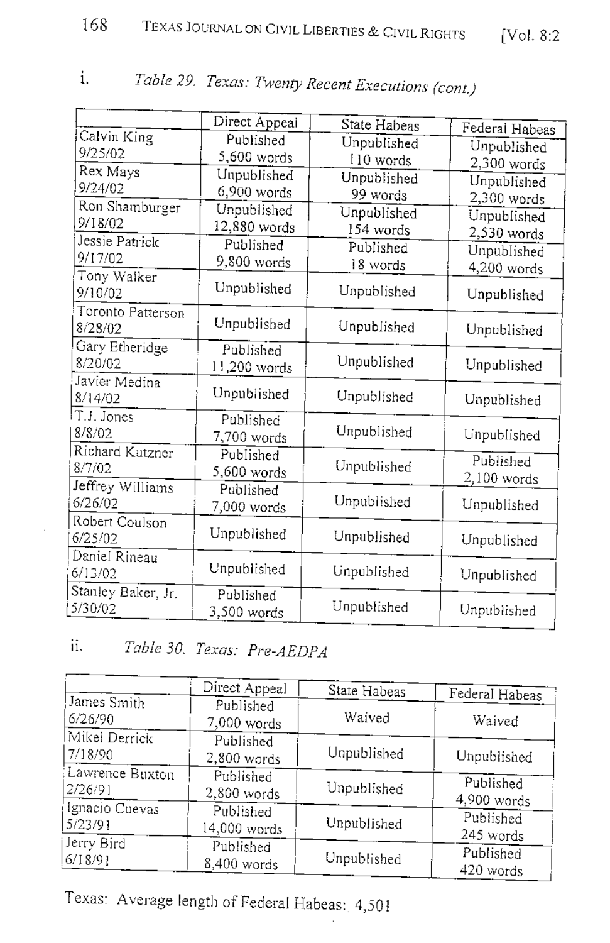|                    | Direct Appeal |              |                |
|--------------------|---------------|--------------|----------------|
| Calvin King        | Published     | State Habeas | Federal Habeas |
| 9/25/02            |               | Unpublished  | Unpublished    |
|                    | 5,600 words   | 110 words    | $2,300$ words  |
| Rex Mays           | Unpublished   | Unpublished  | Unpublished    |
| 9/24/02            | 6,900 words   | 99 words     | 2,300 words    |
| Ron Shamburger     | Unpublished   | Unpublished  | Unpublished    |
| 9/18/02            | 12,880 words  | 154 words    | 2,530 words    |
| Jessie Patrick     | Published     | Published    | Unpublished    |
| 9/17/02            | 9,800 words   | 18 words     | 4,200 words    |
| Tony Walker        |               |              |                |
| 9/10/02            | Unpublished   | Unpublished  | Unpublished    |
| Toronto Patterson  |               |              |                |
| 8/28/02            | Unpublished   | Unpublished  | Unpublished    |
| Gary Etheridge     | Published     |              |                |
| 8/20/02            | 11,200 words  | Unpublished  | Unpublished    |
| Javier Medina      |               |              |                |
| 8/14/02            | Unpublished   | Unpublished  | Unpublished    |
| T.J. Jones         | Published     |              |                |
| 8/8/02             | 7,700 words   | Unpublished  | Unpublished    |
| Richard Kutzner    | Published     |              |                |
| 8/7/02             | 5,600 words   | Unpublished  | Published      |
| Jeffrey Williams   | Published     |              | 2,100 words    |
| 6/26/02            | 7,000 words   | Unpublished  | Unpublished    |
| Robert Coulson     |               |              |                |
| 6/25/02            | Unpublished   | Unpublished  | Unpublished    |
| Daniel Rineau      |               |              |                |
| 6/13/02            | Unpublished   | Unpublished  |                |
|                    |               |              | Unpublished    |
| Stanley Baker, Jr. | Published     | Unpublished  |                |
| 5/30/02            | 3,500 words   |              | Unpublished    |

### $\mathbf{i}$ . Table 29. Texas: Twenty Recent Executions (cont.)

 $\Gamma$ 

# ii. Table 30. Texas: Pre-AEDPA

|                          | Direct Appeal            | State Habeas | Federal Habeas |
|--------------------------|--------------------------|--------------|----------------|
| James Smith<br>6/26/90   | Published<br>7,000 words | Waived       | Waived         |
| Mikel Derrick<br>7/18/90 | Published<br>2,800 words | Unpublished  | Unpublished    |
| Lawrence Buxton          | Published                | Unpublished  | Published      |
| 2/26/91                  | 2,800 words              |              | 4,900 words    |
| Ignacio Cuevas           | Published                | Unpublished  | Published      |
| 5/23/91                  | 14,000 words             |              | 245 words      |
| Jerry Bird               | Published                | Unpublished  | Published      |
| $6/18/9$ ]               | 8,400 words              |              | 420 words      |

Texas: Average length of Federal Habeas: 4,501